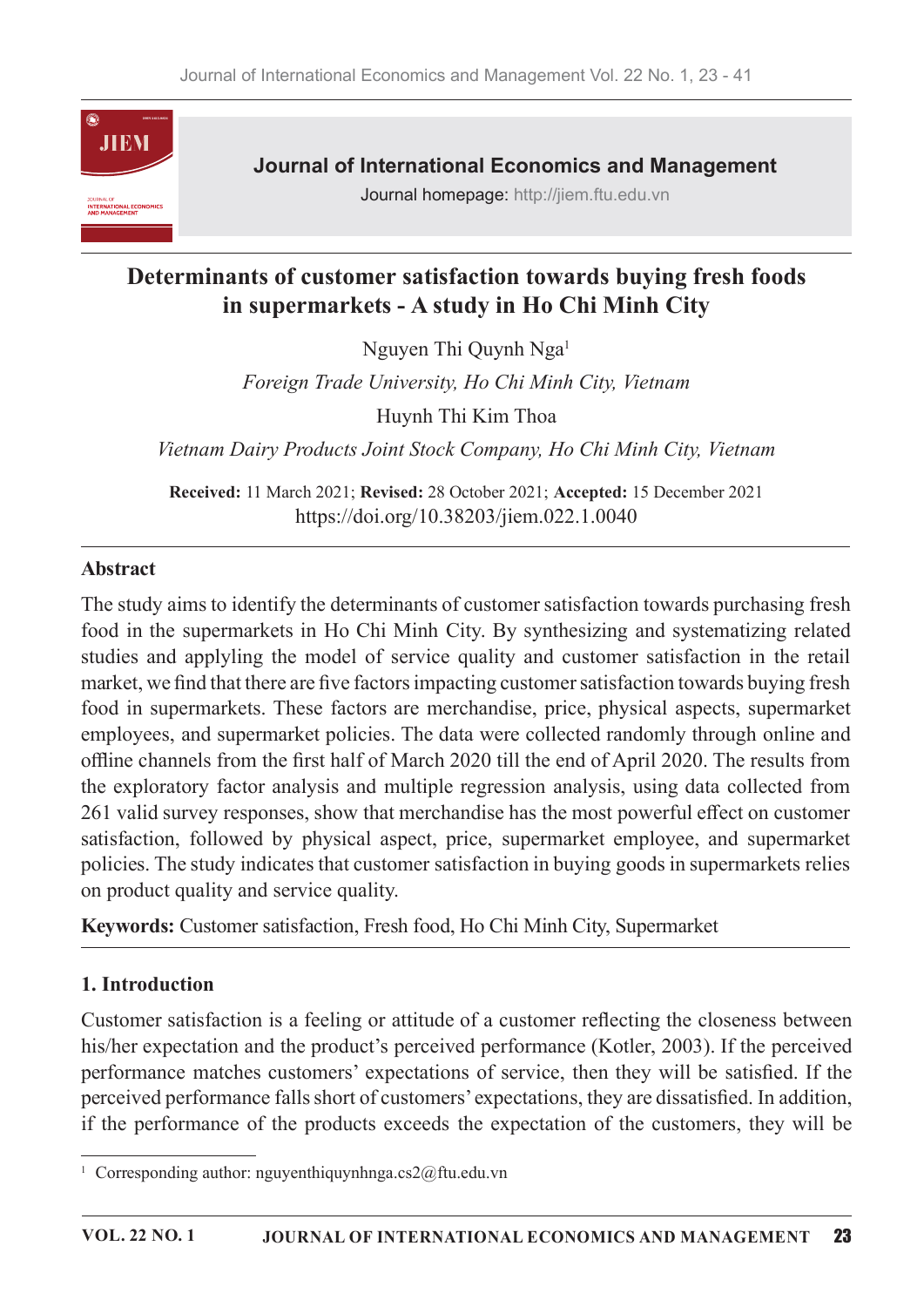

**Journal of International Economics and Management** 

Journal homepage: http://jiem.ftu.edu.vn

# Determinants of customer satisfaction towards buying fresh foods in supermarkets - A study in Ho Chi Minh City

Nguyen Thi Quynh Nga<sup>1</sup>

Foreign Trade University, Ho Chi Minh City, Vietnam Huynh Thi Kim Thoa

Vietnam Dairy Products Joint Stock Company, Ho Chi Minh City, Vietnam

Received: 11 March 2021; Revised: 28 October 2021; Accepted: 15 December 2021 https://doi.org/10.38203/jiem.022.1.0040

### Abstract

The study aims to identify the determinants of customer satisfaction towards purchasing fresh food in the supermarkets in Ho Chi Minh City. By synthesizing and systematizing related studies and applyling the model of service quality and customer satisfaction in the retail market, we find that there are five factors impacting customer satisfaction towards buying fresh food in supermarkets. These factors are merchandise, price, physical aspects, supermarket employees, and supermarket policies. The data were collected randomly through online and offline channels from the first half of March 2020 till the end of April 2020. The results from the exploratory factor analysis and multiple regression analysis, using data collected from 261 valid survey responses, show that merchandise has the most powerful effect on customer satisfaction, followed by physical aspect, price, supermarket employee, and supermarket policies. The study indicates that customer satisfaction in buying goods in supermarkets relies on product quality and service quality.

Keywords: Customer satisfaction, Fresh food, Ho Chi Minh City, Supermarket

### 1. Introduction

Customer satisfaction is a feeling or attitude of a customer reflecting the closeness between his/her expectation and the product's perceived performance (Kotler, 2003). If the perceived performance matches customers' expectations of service, then they will be satisfied. If the perceived performance falls short of customers' expectations, they are dissatisfied. In addition, if the performance of the products exceeds the expectation of the customers, they will be

<sup>&</sup>lt;sup>1</sup> Corresponding author: nguyenthiquynhnga.cs2@ftu.edu.vn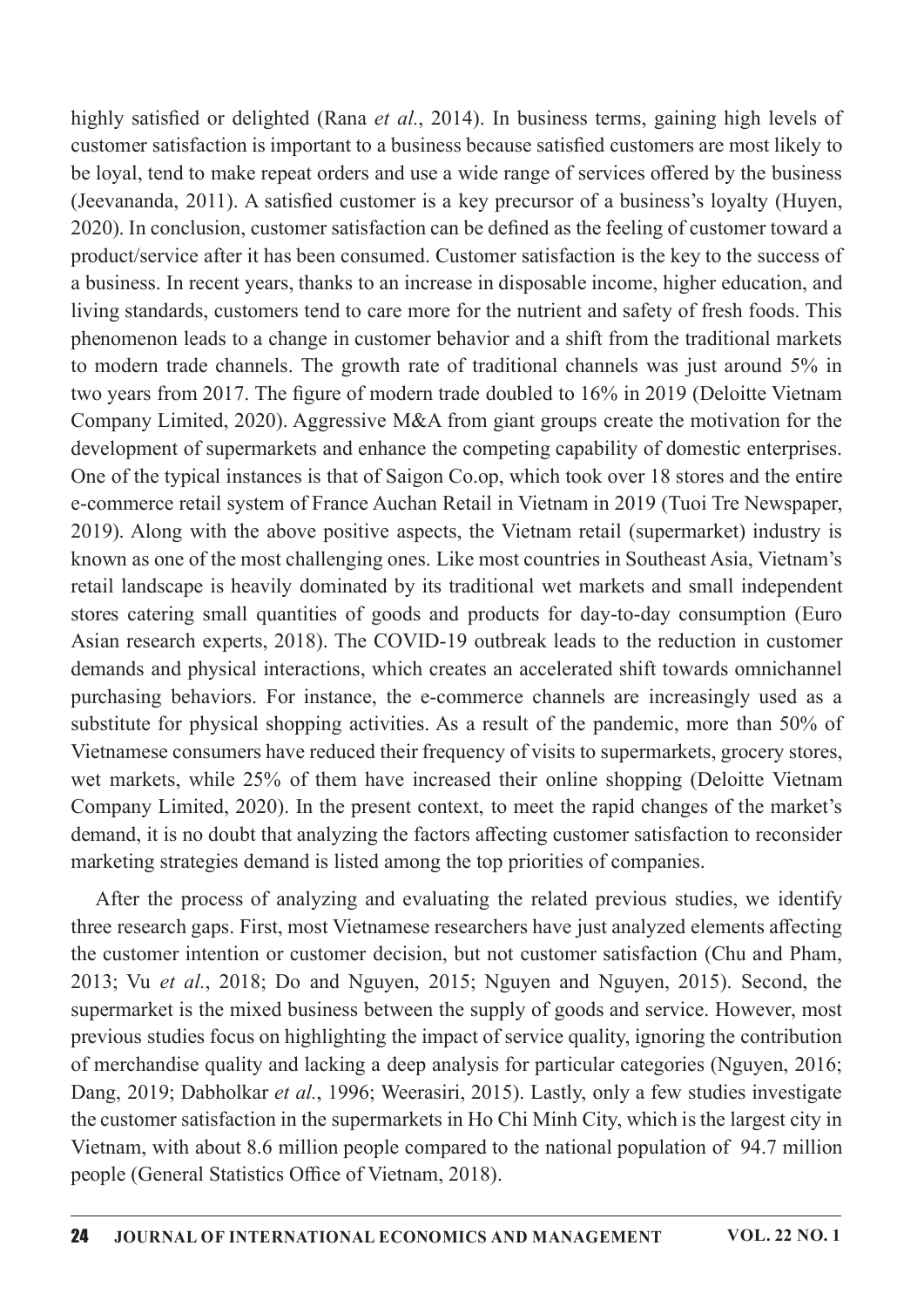highly satisfied or delighted (Rana *et al.*, 2014). In business terms, gaining high levels of customer satisfaction is important to a business because satisfied customers are most likely to be loyal, tend to make repeat orders and use a wide range of services offered by the business (Jeevananda, 2011). A satisfied customer is a key precursor of a business's loyalty (Huyen, 2020). In conclusion, customer satisfaction can be defined as the feeling of customer toward a product/service after it has been consumed. Customer satisfaction is the key to the success of a business. In recent years, thanks to an increase in disposable income, higher education, and living standards, customers tend to care more for the nutrient and safety of fresh foods. This phenomenon leads to a change in customer behavior and a shift from the traditional markets to modern trade channels. The growth rate of traditional channels was just around  $5\%$  in two years from 2017. The figure of modern trade doubled to 16% in 2019 (Deloitte Vietnam Company Limited, 2020). Aggressive M&A from giant groups create the motivation for the development of supermarkets and enhance the competing capability of domestic enterprises. One of the typical instances is that of Saigon Co.op, which took over 18 stores and the entire e-commerce retail system of France Auchan Retail in Vietnam in 2019 (Tuoi Tre Newspaper, 2019). Along with the above positive aspects, the Vietnam retail (supermarket) industry is known as one of the most challenging ones. Like most countries in Southeast Asia, Vietnam's retail landscape is heavily dominated by its traditional wet markets and small independent stores catering small quantities of goods and products for day-to-day consumption (Euro Asian research experts, 2018). The COVID-19 outbreak leads to the reduction in customer demands and physical interactions, which creates an accelerated shift towards omnichannel purchasing behaviors. For instance, the e-commerce channels are increasingly used as a substitute for physical shopping activities. As a result of the pandemic, more than 50% of Vietnamese consumers have reduced their frequency of visits to supermarkets, grocery stores, wet markets, while 25% of them have increased their online shopping (Deloitte Vietnam Company Limited, 2020). In the present context, to meet the rapid changes of the market's demand, it is no doubt that analyzing the factors affecting customer satisfaction to reconsider marketing strategies demand is listed among the top priorities of companies.

After the process of analyzing and evaluating the related previous studies, we identify three research gaps. First, most Vietnamese researchers have just analyzed elements affecting the customer intention or customer decision, but not customer satisfaction (Chu and Pham, 2013; Vu et al., 2018; Do and Nguyen, 2015; Nguyen and Nguyen, 2015). Second, the supermarket is the mixed business between the supply of goods and service. However, most previous studies focus on highlighting the impact of service quality, ignoring the contribution of merchandise quality and lacking a deep analysis for particular categories (Nguyen, 2016; Dang, 2019; Dabholkar et al., 1996; Weerasiri, 2015). Lastly, only a few studies investigate the customer satisfaction in the supermarkets in Ho Chi Minh City, which is the largest city in Vietnam, with about 8.6 million people compared to the national population of 94.7 million people (General Statistics Office of Vietnam, 2018).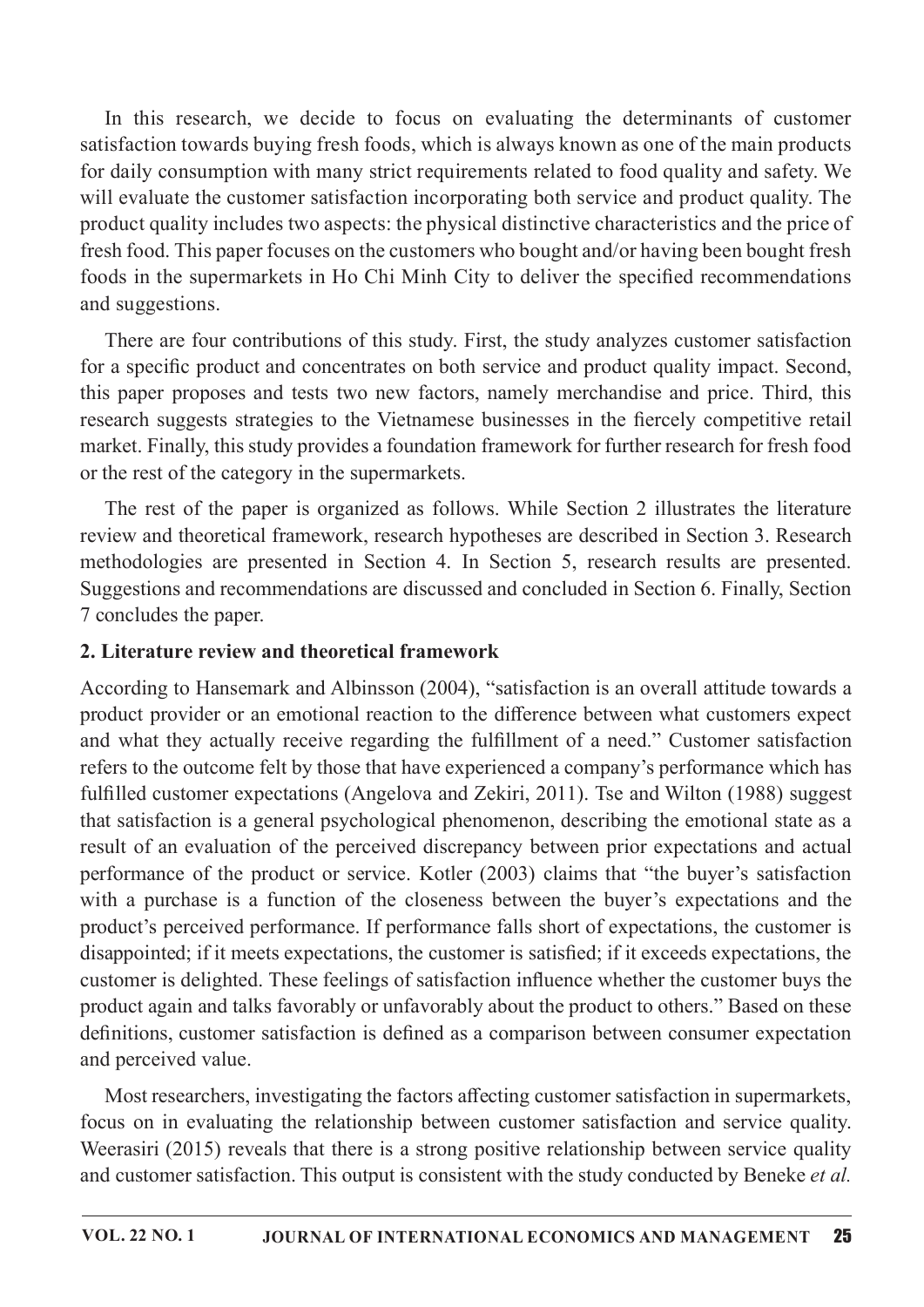In this research, we decide to focus on evaluating the determinants of customer satisfaction towards buying fresh foods, which is always known as one of the main products for daily consumption with many strict requirements related to food quality and safety. We will evaluate the customer satisfaction incorporating both service and product quality. The product quality includes two aspects: the physical distinctive characteristics and the price of fresh food. This paper focuses on the customers who bought and/or having been bought fresh foods in the supermarkets in Ho Chi Minh City to deliver the specified recommendations and suggestions.

There are four contributions of this study. First, the study analyzes customer satisfaction for a specific product and concentrates on both service and product quality impact. Second, this paper proposes and tests two new factors, namely merchandise and price. Third, this research suggests strategies to the Vietnamese businesses in the fiercely competitive retail market. Finally, this study provides a foundation framework for further research for fresh food or the rest of the category in the supermarkets.

The rest of the paper is organized as follows. While Section 2 illustrates the literature review and theoretical framework, research hypotheses are described in Section 3. Research methodologies are presented in Section 4. In Section 5, research results are presented. Suggestions and recommendations are discussed and concluded in Section 6. Finally, Section 7 concludes the paper.

#### 2. Literature review and theoretical framework

According to Hansemark and Albinsson (2004), "satisfaction is an overall attitude towards a product provider or an emotional reaction to the difference between what customers expect and what they actually receive regarding the fulfillment of a need." Customer satisfaction refers to the outcome felt by those that have experienced a company's performance which has fulfilled customer expectations (Angelova and Zekiri, 2011). Tse and Wilton (1988) suggest that satisfaction is a general psychological phenomenon, describing the emotional state as a result of an evaluation of the perceived discrepancy between prior expectations and actual performance of the product or service. Kotler (2003) claims that "the buyer's satisfaction with a purchase is a function of the closeness between the buyer's expectations and the product's perceived performance. If performance falls short of expectations, the customer is disappointed; if it meets expectations, the customer is satisfied; if it exceeds expectations, the customer is delighted. These feelings of satisfaction influence whether the customer buys the product again and talks favorably or unfavorably about the product to others." Based on these definitions, customer satisfaction is defined as a comparison between consumer expectation and perceived value.

Most researchers, investigating the factors affecting customer satisfaction in supermarkets, focus on in evaluating the relationship between customer satisfaction and service quality. Weerasiri (2015) reveals that there is a strong positive relationship between service quality and customer satisfaction. This output is consistent with the study conducted by Beneke et al.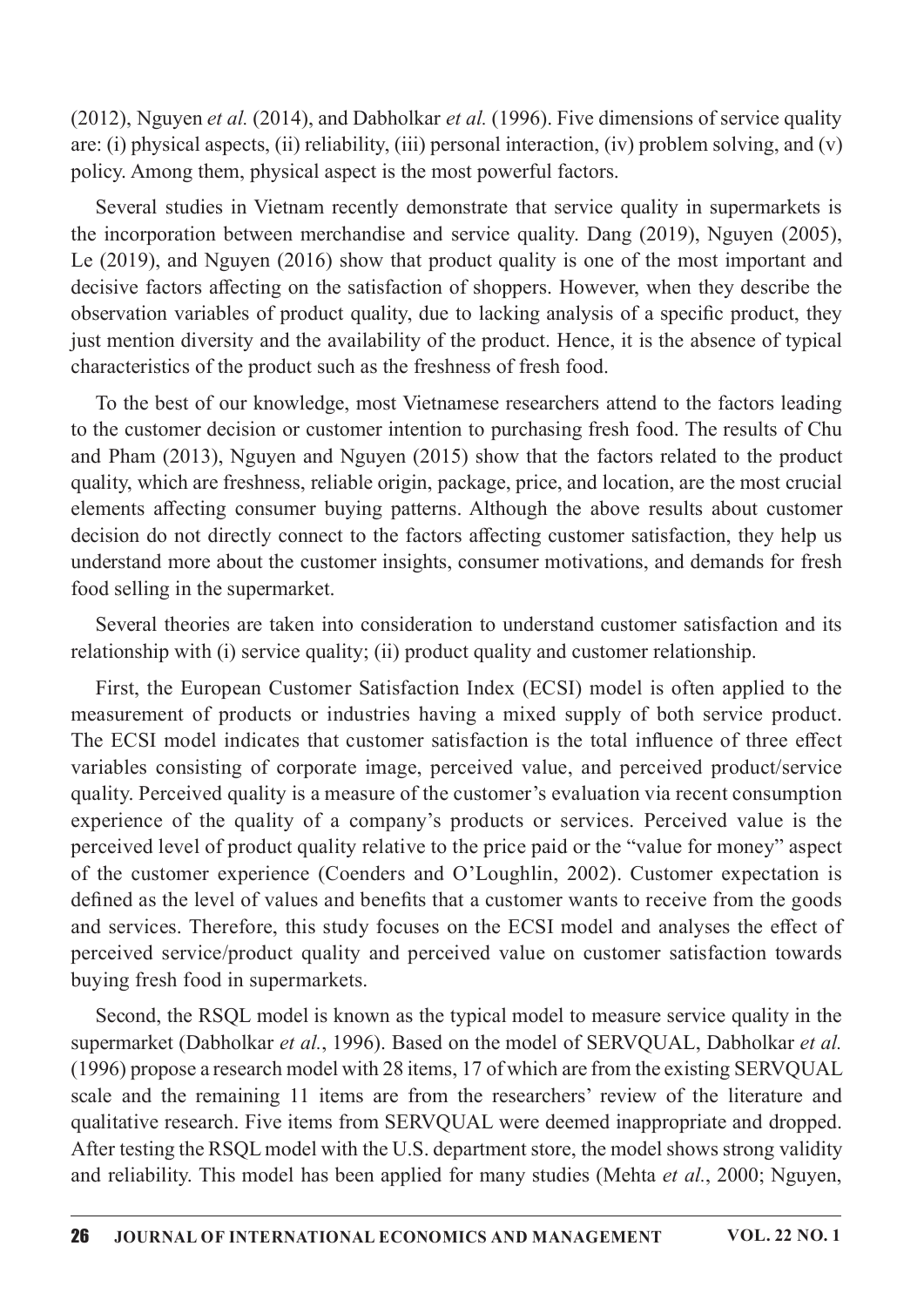(2012), Nguyen *et al.* (2014), and Dabholkar *et al.* (1996). Five dimensions of service quality are: (i) physical aspects, (ii) reliability, (iii) personal interaction, (iv) problem solving, and (v) policy. Among them, physical aspect is the most powerful factors.

Several studies in Vietnam recently demonstrate that service quality in supermarkets is the incorporation between merchandise and service quality. Dang  $(2019)$ , Nguyen  $(2005)$ , Le  $(2019)$ , and Nguyen  $(2016)$  show that product quality is one of the most important and decisive factors affecting on the satisfaction of shoppers. However, when they describe the observation variables of product quality, due to lacking analysis of a specific product, they just mention diversity and the availability of the product. Hence, it is the absence of typical characteristics of the product such as the freshness of fresh food.

To the best of our knowledge, most Vietnamese researchers attend to the factors leading to the customer decision or customer intention to purchasing fresh food. The results of Chu and Pham  $(2013)$ , Nguyen and Nguyen  $(2015)$  show that the factors related to the product quality, which are freshness, reliable origin, package, price, and location, are the most crucial elements affecting consumer buying patterns. Although the above results about customer decision do not directly connect to the factors affecting customer satisfaction, they help us understand more about the customer insights, consumer motivations, and demands for fresh food selling in the supermarket.

Several theories are taken into consideration to understand customer satisfaction and its relationship with (i) service quality; (ii) product quality and customer relationship.

First, the European Customer Satisfaction Index (ECSI) model is often applied to the measurement of products or industries having a mixed supply of both service product. The ECSI model indicates that customer satisfaction is the total influence of three effect variables consisting of corporate image, perceived value, and perceived product/service quality. Perceived quality is a measure of the customer's evaluation via recent consumption experience of the quality of a company's products or services. Perceived value is the perceived level of product quality relative to the price paid or the "value for money" aspect of the customer experience (Coenders and O'Loughlin, 2002). Customer expectation is defined as the level of values and benefits that a customer wants to receive from the goods and services. Therefore, this study focuses on the ECSI model and analyses the effect of perceived service/product quality and perceived value on customer satisfaction towards buying fresh food in supermarkets.

Second, the RSQL model is known as the typical model to measure service quality in the supermarket (Dabholkar et al., 1996). Based on the model of SERVQUAL, Dabholkar et al.  $(1996)$  propose a research model with 28 items, 17 of which are from the existing SERVQUAL scale and the remaining 11 items are from the researchers' review of the literature and qualitative research. Five items from SERVQUAL were deemed inappropriate and dropped. After testing the RSQL model with the U.S. department store, the model shows strong validity and reliability. This model has been applied for many studies (Mehta et al., 2000; Nguyen,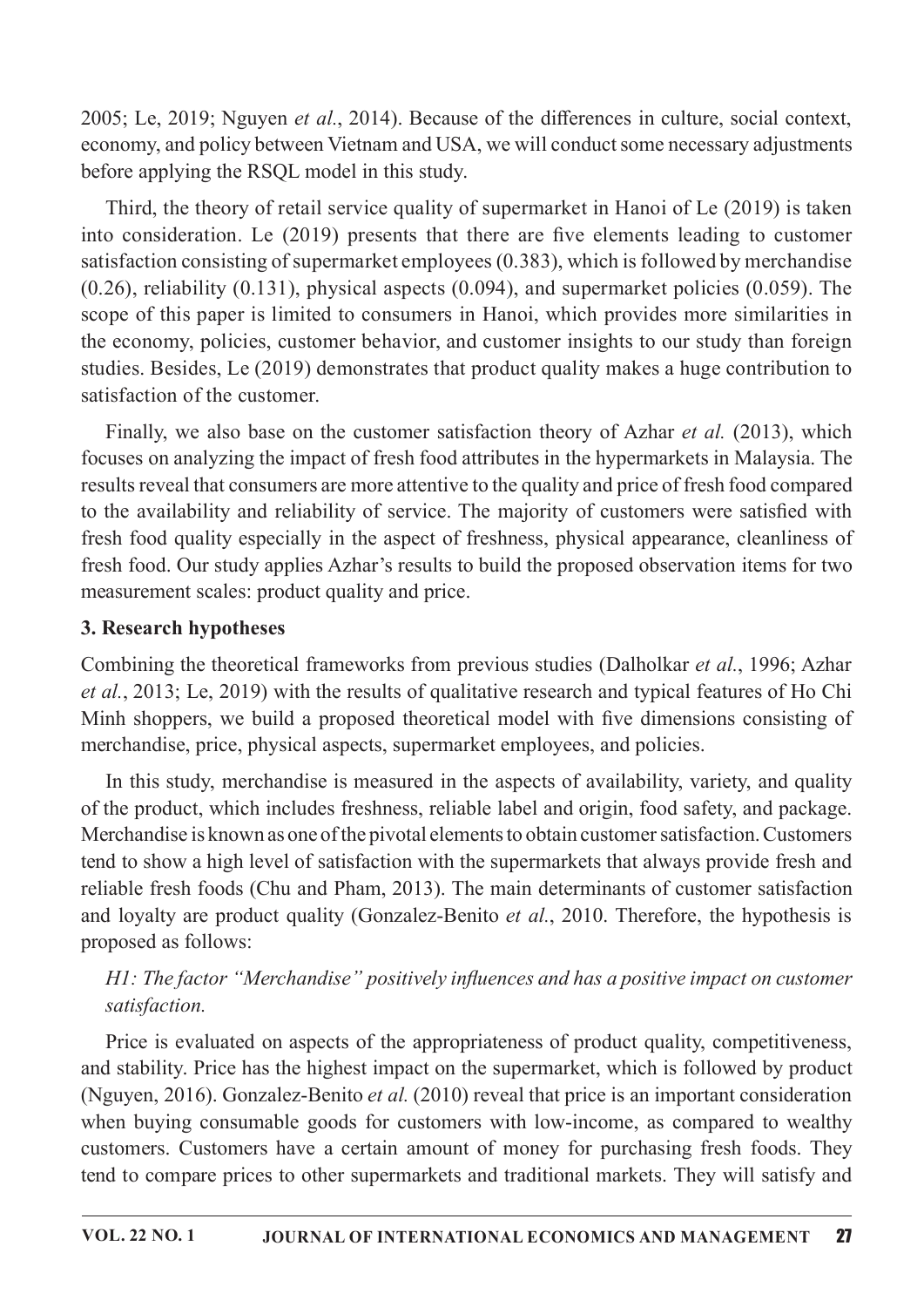2005; Le, 2019; Nguyen et al., 2014). Because of the differences in culture, social context, economy, and policy between Vietnam and USA, we will conduct some necessary adjustments before applying the RSQL model in this study.

Third, the theory of retail service quality of supermarket in Hanoi of Le  $(2019)$  is taken into consideration. Le  $(2019)$  presents that there are five elements leading to customer satisfaction consisting of supermarket employees (0.383), which is followed by merchandise  $(0.26)$ , reliability  $(0.131)$ , physical aspects  $(0.094)$ , and supermarket policies  $(0.059)$ . The scope of this paper is limited to consumers in Hanoi, which provides more similarities in the economy, policies, customer behavior, and customer insights to our study than foreign studies. Besides, Le (2019) demonstrates that product quality makes a huge contribution to satisfaction of the customer.

Finally, we also base on the customer satisfaction theory of Azhar *et al.* (2013), which focuses on analyzing the impact of fresh food attributes in the hypermarkets in Malaysia. The results reveal that consumers are more attentive to the quality and price of fresh food compared to the availability and reliability of service. The majority of customers were satisfied with fresh food quality especially in the aspect of freshness, physical appearance, cleanliness of fresh food. Our study applies Azhar's results to build the proposed observation items for two measurement scales: product quality and price.

### 3. Research hypotheses

Combining the theoretical frameworks from previous studies (Dalholkar *et al.*, 1996; Azhar et al., 2013; Le, 2019) with the results of qualitative research and typical features of Ho Chi Minh shoppers, we build a proposed theoretical model with five dimensions consisting of merchandise, price, physical aspects, supermarket employees, and policies.

In this study, merchandise is measured in the aspects of availability, variety, and quality of the product, which includes freshness, reliable label and origin, food safety, and package. Merchandise is known as one of the pivotal elements to obtain customer satisfaction. Customers tend to show a high level of satisfaction with the supermarkets that always provide fresh and reliable fresh foods (Chu and Pham, 2013). The main determinants of customer satisfaction and loyalty are product quality (Gonzalez-Benito *et al.*, 2010. Therefore, the hypothesis is proposed as follows:

# H1: The factor "Merchandise" positively influences and has a positive impact on customer satisfaction.

Price is evaluated on aspects of the appropriateness of product quality, competitiveness, and stability. Price has the highest impact on the supermarket, which is followed by product (Nguyen, 2016). Gonzalez-Benito et al. (2010) reveal that price is an important consideration when buying consumable goods for customers with low-income, as compared to wealthy customers. Customers have a certain amount of money for purchasing fresh foods. They tend to compare prices to other supermarkets and traditional markets. They will satisfy and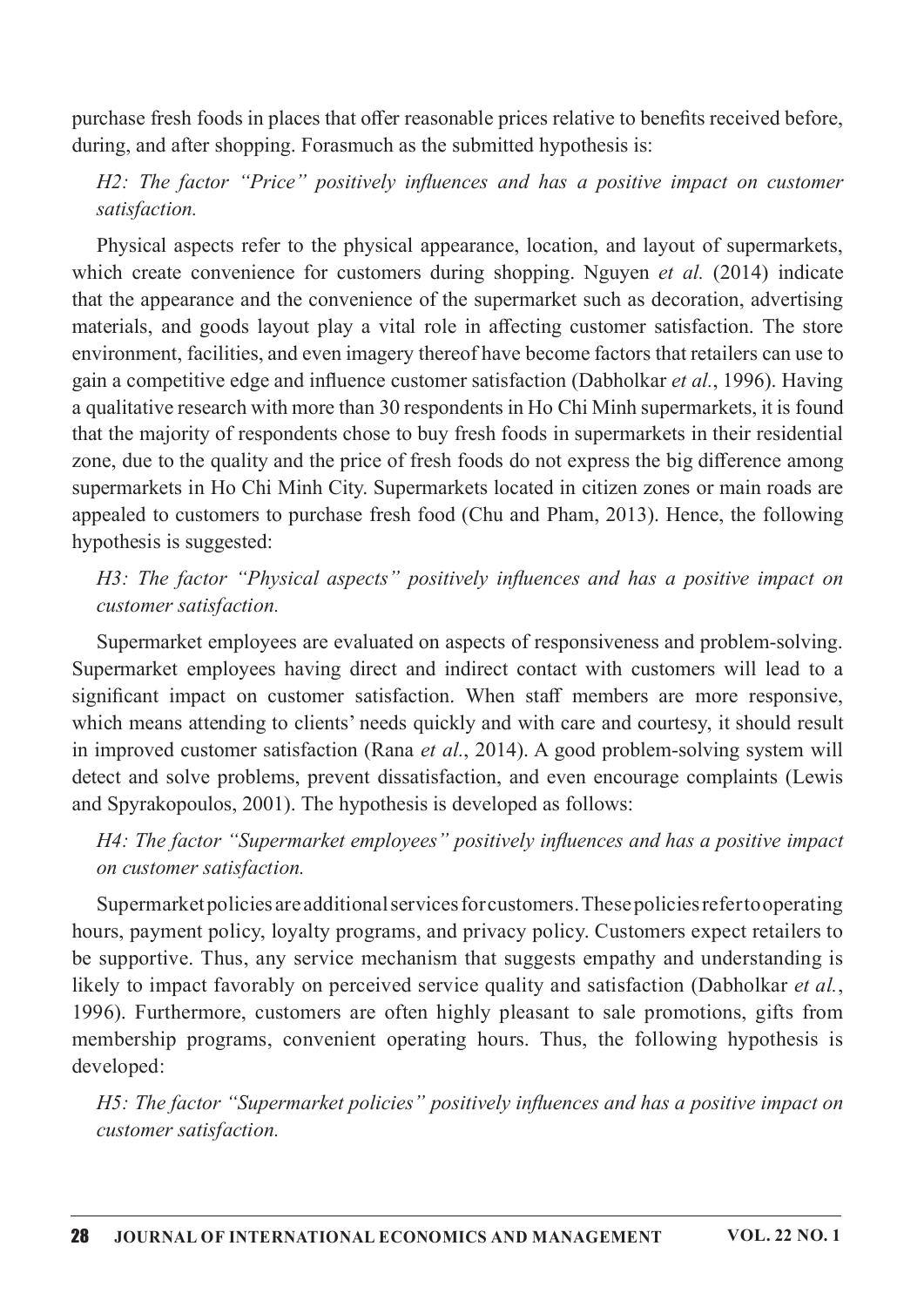purchase fresh foods in places that offer reasonable prices relative to benefits received before, during, and after shopping. Forasmuch as the submitted hypothesis is:

# $H2$ : The factor "Price" positively influences and has a positive impact on customer satisfaction.

Physical aspects refer to the physical appearance, location, and layout of supermarkets, which create convenience for customers during shopping. Nguyen *et al.* (2014) indicate that the appearance and the convenience of the supermarket such as decoration, advertising materials, and goods layout play a vital role in affecting customer satisfaction. The store environment, facilities, and even imagery thereof have become factors that retailers can use to gain a competitive edge and influence customer satisfaction (Dabholkar et al., 1996). Having a qualitative research with more than 30 respondents in Ho Chi Minh supermarkets, it is found that the majority of respondents chose to buy fresh foods in supermarkets in their residential zone, due to the quality and the price of fresh foods do not express the big difference among supermarkets in Ho Chi Minh City. Supermarkets located in citizen zones or main roads are appealed to customers to purchase fresh food (Chu and Pham, 2013). Hence, the following hypothesis is suggested:

### H3: The factor "Physical aspects" positively influences and has a positive impact on customer satisfaction.

Supermarket employees are evaluated on aspects of responsiveness and problem-solving. Supermarket employees having direct and indirect contact with customers will lead to a significant impact on customer satisfaction. When staff members are more responsive, which means attending to clients' needs quickly and with care and courtesy, it should result in improved customer satisfaction (Rana et al., 2014). A good problem-solving system will detect and solve problems, prevent dissatisfaction, and even encourage complaints (Lewis and Spyrakopoulos, 2001). The hypothesis is developed as follows:

### $H4$ : The factor "Supermarket employees" positively influences and has a positive impact on customer satisfaction.

Supermarketpoliciesareadditionalservicesforcustomers.Thesepoliciesrefertooperating hours, payment policy, loyalty programs, and privacy policy. Customers expect retailers to be supportive. Thus, any service mechanism that suggests empathy and understanding is likely to impact favorably on perceived service quality and satisfaction (Dabholkar et al., 1996). Furthermore, customers are often highly pleasant to sale promotions, gifts from membership programs, convenient operating hours. Thus, the following hypothesis is developed:

H5: The factor "Supermarket policies" positively influences and has a positive impact on customer satisfaction.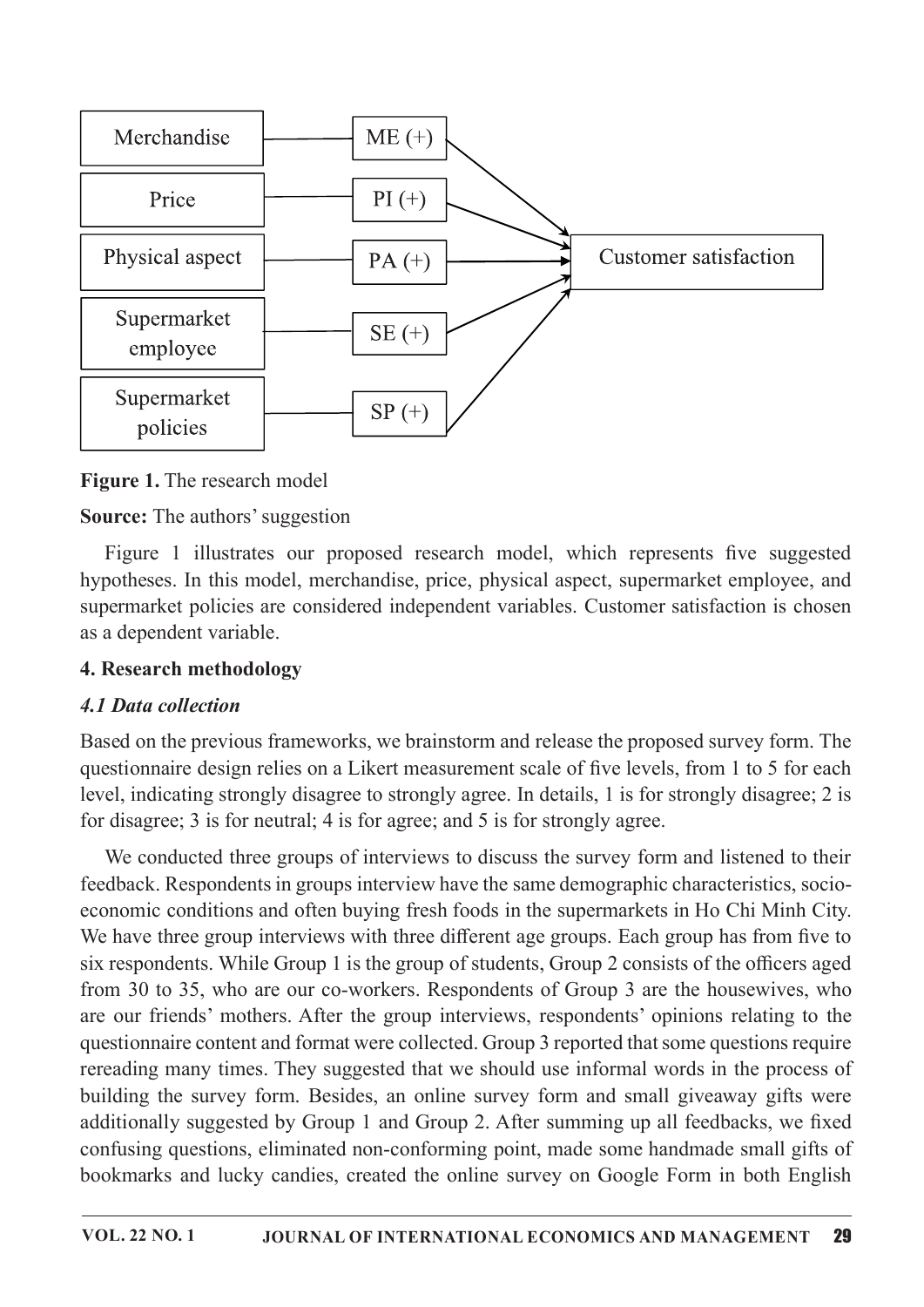

Figure 1. The research model

# **Source:** The authors' suggestion

Figure 1 illustrates our proposed research model, which represents five suggested hypotheses. In this model, merchandise, price, physical aspect, supermarket employee, and supermarket policies are considered independent variables. Customer satisfaction is chosen as a dependent variable.

### 4. Research methodology

# 4.1 Data collection

Based on the previous frameworks, we brainstorm and release the proposed survey form. The questionnaire design relies on a Likert measurement scale of five levels, from 1 to 5 for each level, indicating strongly disagree to strongly agree. In details, 1 is for strongly disagree; 2 is for disagree; 3 is for neutral; 4 is for agree; and 5 is for strongly agree.

We conducted three groups of interviews to discuss the survey form and listened to their feedback. Respondents in groups interview have the same demographic characteristics, socioeconomic conditions and often buying fresh foods in the supermarkets in Ho Chi Minh City. We have three group interviews with three different age groups. Each group has from five to six respondents. While Group 1 is the group of students, Group 2 consists of the officers aged from 30 to 35, who are our co-workers. Respondents of Group 3 are the housewives, who are our friends' mothers. After the group interviews, respondents' opinions relating to the questionnaire content and format were collected. Group 3 reported that some questions require rereading many times. They suggested that we should use informal words in the process of building the survey form. Besides, an online survey form and small giveaway gifts were additionally suggested by Group 1 and Group 2. After summing up all feedbacks, we fixed confusing questions, eliminated non-conforming point, made some handmade small gifts of bookmarks and lucky candies, created the online survey on Google Form in both English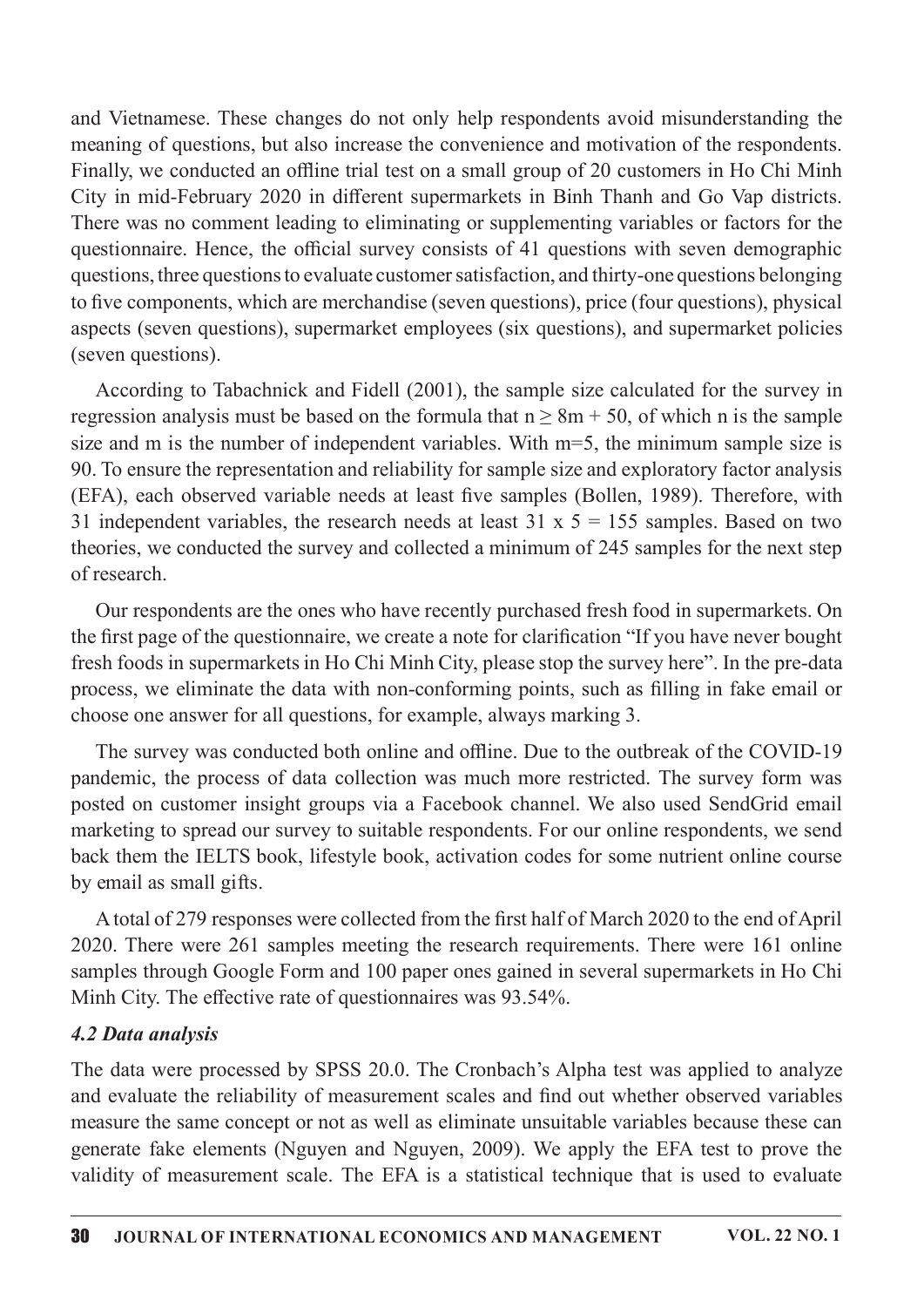and Vietnamese. These changes do not only help respondents avoid misunderstanding the meaning of questions, but also increase the convenience and motivation of the respondents. Finally, we conducted an offline trial test on a small group of 20 customers in Ho Chi Minh City in mid-February 2020 in different supermarkets in Binh Thanh and Go Vap districts. There was no comment leading to eliminating or supplementing variables or factors for the questionnaire. Hence, the official survey consists of 41 questions with seven demographic questions, three questions to evaluate customer satisfaction, and thirty-one questions belonging to five components, which are merchandise (seven questions), price (four questions), physical aspects (seven questions), supermarket employees (six questions), and supermarket policies (seven questions).

According to Tabachnick and Fidell (2001), the sample size calculated for the survey in regression analysis must be based on the formula that  $n \geq 8m + 50$ , of which n is the sample size and m is the number of independent variables. With  $m=5$ , the minimum sample size is 90. To ensure the representation and reliability for sample size and exploratory factor analysis (EFA), each observed variable needs at least five samples (Bollen, 1989). Therefore, with 31 independent variables, the research needs at least 31 x  $5 = 155$  samples. Based on two theories, we conducted the survey and collected a minimum of 245 samples for the next step ofresearch.

Our respondents are the ones who have recently purchased fresh food in supermarkets. On the first page of the questionnaire, we create a note for clarification "If you have never bought fresh foods in supermarkets in Ho Chi Minh City, please stop the survey here". In the pre-data process, we eliminate the data with non-conforming points, such as filling in fake email or choose one answer for all questions, for example, always marking 3.

The survey was conducted both online and offline. Due to the outbreak of the COVID-19 pandemic, the process of data collection was much more restricted. The survey form was posted on customer insight groups via a Facebook channel. We also used SendGrid email marketing to spread our survey to suitable respondents. For our online respondents, we send back them the IELTS book, lifestyle book, activation codes for some nutrient online course by email as small gifts.

A total of 279 responses were collected from the first half of March 2020 to the end of April 2020. There were 261 samples meeting the research requirements. There were 161 online samples through Google Form and 100 paper ones gained in several supermarkets in Ho Chi Minh City. The effective rate of questionnaires was 93.54%.

#### 4.2 Data analysis

The data were processed by SPSS 20.0. The Cronbach's Alpha test was applied to analyze and evaluate the reliability of measurement scales and find out whether observed variables measure the same concept or not as well as eliminate unsuitable variables because these can generate fake elements (Nguyen and Nguyen, 2009). We apply the EFA test to prove the validity of measurement scale. The EFA is a statistical technique that is used to evaluate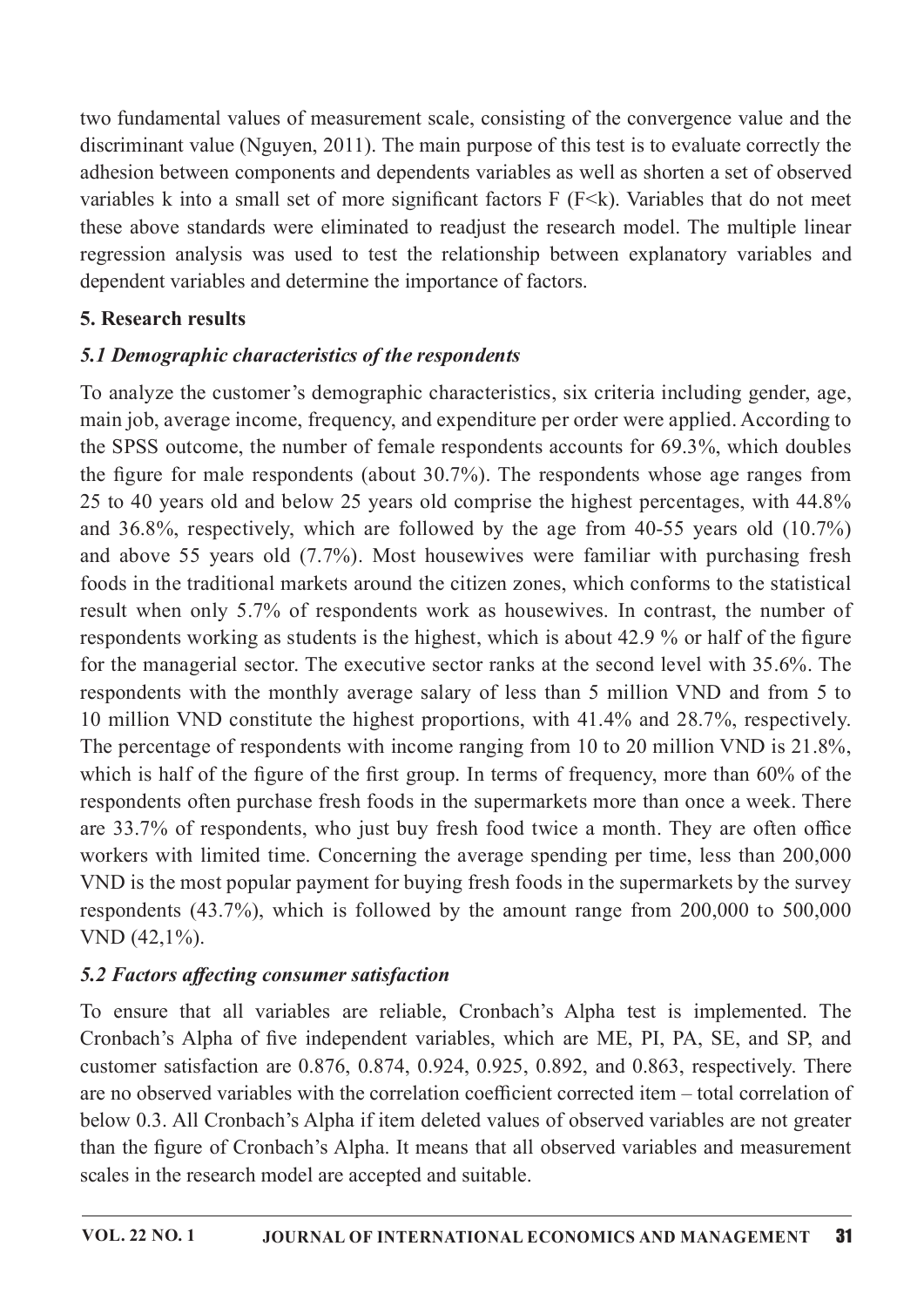two fundamental values of measurement scale, consisting of the convergence value and the discriminant value (Nguyen, 2011). The main purpose of this test is to evaluate correctly the adhesion between components and dependents variables as well as shorten a set of observed variables k into a small set of more significant factors  $F$  ( $F \le k$ ). Variables that do not meet these above standards were eliminated to readjust the research model. The multiple linear regression analysis was used to test the relationship between explanatory variables and dependent variables and determine the importance of factors.

# 5. Research results

# 5.1 Demographic characteristics of the respondents

To analyze the customer's demographic characteristics, six criteria including gender, age, main job, average income, frequency, and expenditure per order were applied. According to the SPSS outcome, the number of female respondents accounts for 69.3%, which doubles the figure for male respondents (about  $30.7\%$ ). The respondents whose age ranges from 25 to 40 years old and below 25 years old comprise the highest percentages, with 44.8% and 36.8%, respectively, which are followed by the age from 40-55 years old (10.7%) and above 55 years old (7.7%). Most housewives were familiar with purchasing fresh foods in the traditional markets around the citizen zones, which conforms to the statistical result when only 5.7% of respondents work as housewives. In contrast, the number of respondents working as students is the highest, which is about 42.9 % or half of the figure for the managerial sector. The executive sector ranks at the second level with 35.6%. The respondents with the monthly average salary of less than 5 million VND and from 5 to 10 million VND constitute the highest proportions, with 41.4% and 28.7%, respectively. The percentage of respondents with income ranging from 10 to 20 million VND is  $21.8\%$ , which is half of the figure of the first group. In terms of frequency, more than  $60\%$  of the respondents often purchase fresh foods in the supermarkets more than once a week. There are 33.7% of respondents, who just buy fresh food twice a month. They are often office workers with limited time. Concerning the average spending per time, less than 200,000 VND is the most popular payment for buying fresh foods in the supermarkets by the survey respondents  $(43.7\%)$ , which is followed by the amount range from  $200,000$  to  $500,000$ VND(42,1%).

# 5.2 Factors affecting consumer satisfaction

To ensure that all variables are reliable, Cronbach's Alpha test is implemented. The Cronbach's Alpha of five independent variables, which are ME, PI, PA, SE, and SP, and customer satisfaction are  $0.876, 0.874, 0.924, 0.925, 0.892,$  and  $0.863$ , respectively. There are no observed variables with the correlation coefficient corrected item – total correlation of below 0.3. All Cronbach's Alpha if item deleted values of observed variables are not greater than the figure of Cronbach's Alpha. It means that all observed variables and measurement scales in the research model are accepted and suitable.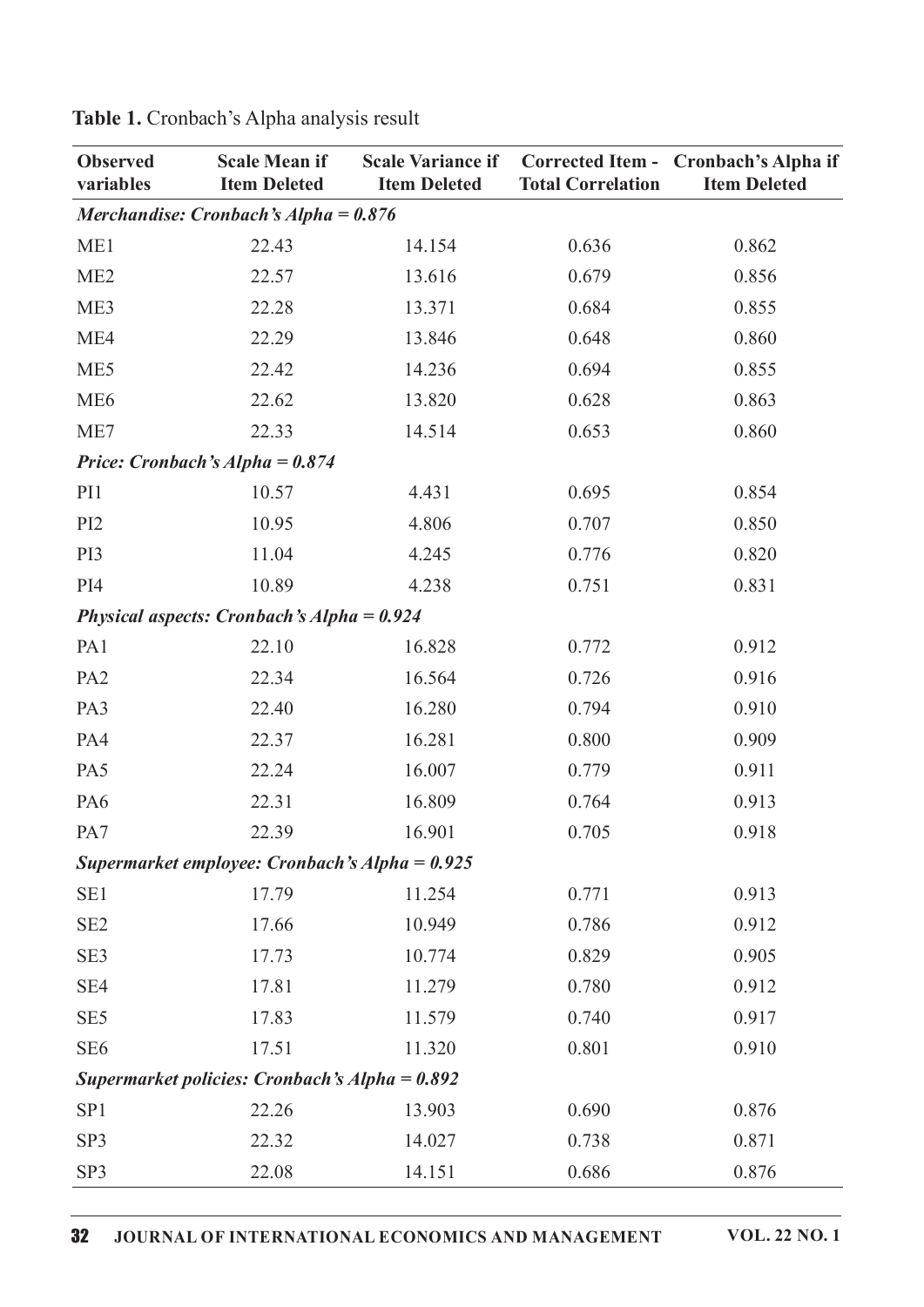| <b>Observed</b><br>variables | <b>Scale Mean if</b><br><b>Scale Variance if</b><br><b>Item Deleted</b><br><b>Item Deleted</b> |        | <b>Total Correlation</b> | Corrected Item - Cronbach's Alpha if<br><b>Item Deleted</b> |
|------------------------------|------------------------------------------------------------------------------------------------|--------|--------------------------|-------------------------------------------------------------|
|                              | Merchandise: Cronbach's Alpha = $0.876$                                                        |        |                          |                                                             |
| ME1                          | 22.43                                                                                          | 14.154 | 0.636                    | 0.862                                                       |
| ME <sub>2</sub>              | 22.57                                                                                          | 13.616 | 0.679                    | 0.856                                                       |
| ME3                          | 22.28                                                                                          | 13.371 | 0.684                    | 0.855                                                       |
| ME4                          | 22.29                                                                                          | 13.846 | 0.648                    | 0.860                                                       |
| ME5                          | 22.42                                                                                          | 14.236 | 0.694                    | 0.855                                                       |
| ME <sub>6</sub>              | 22.62                                                                                          | 13.820 | 0.628                    | 0.863                                                       |
| ME7                          | 22.33                                                                                          | 14.514 | 0.653                    | 0.860                                                       |
|                              | Price: Cronbach's Alpha = $0.874$                                                              |        |                          |                                                             |
| PI1                          | 10.57                                                                                          | 4.431  | 0.695                    | 0.854                                                       |
| PI <sub>2</sub>              | 10.95                                                                                          | 4.806  | 0.707                    | 0.850                                                       |
| PI3                          | 11.04                                                                                          | 4.245  | 0.776                    | 0.820                                                       |
| PI4                          | 10.89                                                                                          | 4.238  | 0.751                    | 0.831                                                       |
|                              | Physical aspects: Cronbach's Alpha = $0.924$                                                   |        |                          |                                                             |
| PA <sub>1</sub>              | 22.10                                                                                          | 16.828 | 0.772                    | 0.912                                                       |
| PA <sub>2</sub>              | 22.34                                                                                          | 16.564 | 0.726                    | 0.916                                                       |
| PA3                          | 22.40                                                                                          | 16.280 | 0.794                    | 0.910                                                       |
| PA4                          | 22.37                                                                                          | 16.281 | 0.800                    | 0.909                                                       |
| PA5                          | 22.24                                                                                          | 16.007 | 0.779                    | 0.911                                                       |
| PA6                          | 22.31                                                                                          | 16.809 | 0.764                    | 0.913                                                       |
| PA7                          | 22.39                                                                                          | 16.901 | 0.705                    | 0.918                                                       |
|                              | Supermarket employee: Cronbach's Alpha = $0.925$                                               |        |                          |                                                             |
| SE1                          | 17.79                                                                                          | 11.254 | 0.771                    | 0.913                                                       |
| SE <sub>2</sub>              | 17.66                                                                                          | 10.949 | 0.786                    | 0.912                                                       |
| SE3                          | 17.73                                                                                          | 10.774 | 0.829                    | 0.905                                                       |
| SE4                          | 17.81                                                                                          | 11.279 | 0.780                    | 0.912                                                       |
| SE <sub>5</sub>              | 17.83                                                                                          | 11.579 | 0.740                    | 0.917                                                       |
| SE <sub>6</sub>              | 17.51                                                                                          | 11.320 | 0.801                    | 0.910                                                       |
|                              | Supermarket policies: Cronbach's Alpha = $0.892$                                               |        |                          |                                                             |
| SP <sub>1</sub>              | 22.26                                                                                          | 13.903 | 0.690                    | 0.876                                                       |
| SP3                          | 22.32                                                                                          | 14.027 | 0.738                    | 0.871                                                       |
| SP3                          | 22.08                                                                                          | 14.151 | 0.686                    | 0.876                                                       |

Table 1. Cronbach's Alpha analysis result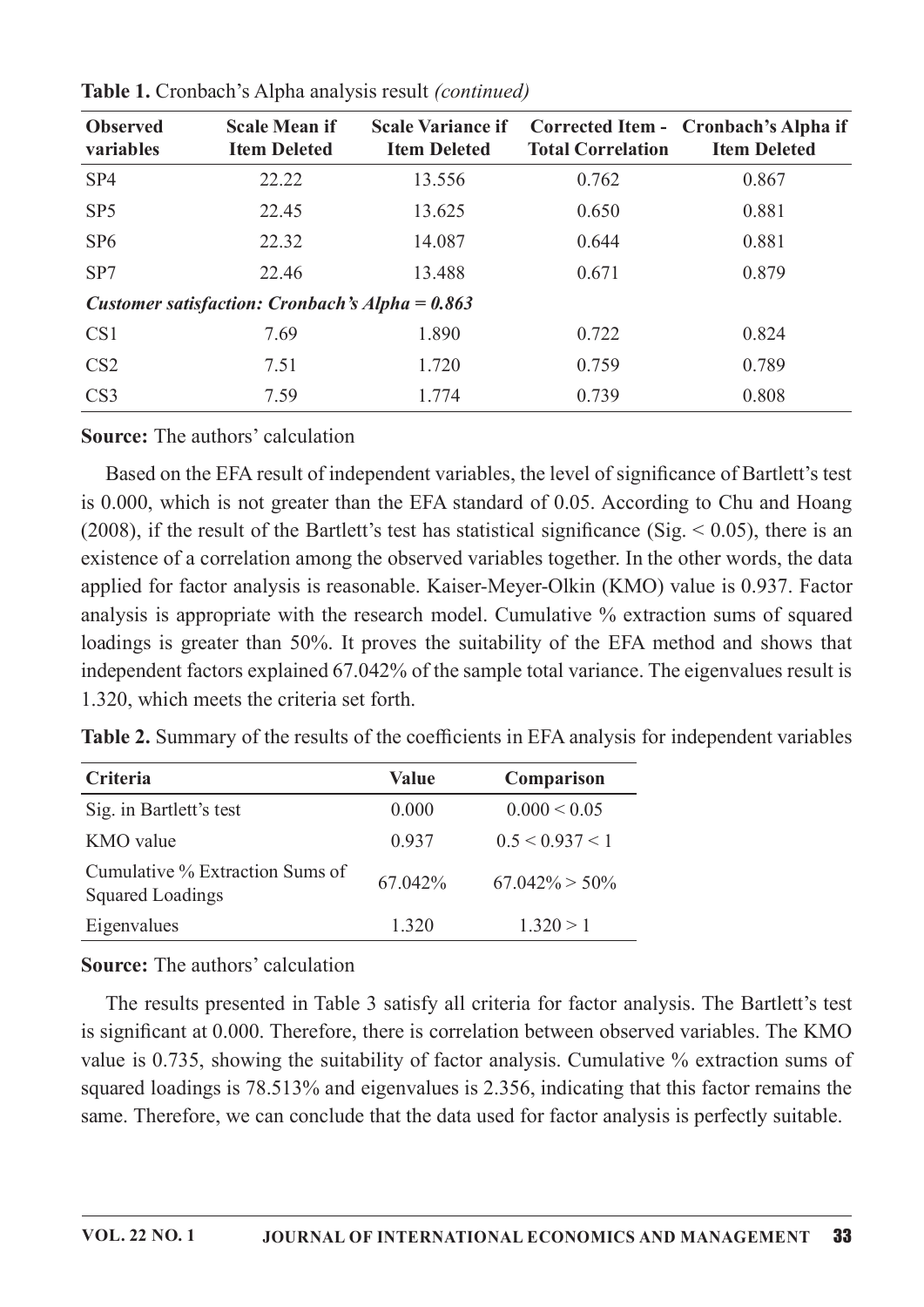| <b>Observed</b><br>variables | <b>Scale Mean if</b><br><b>Item Deleted</b>       | <b>Scale Variance if</b><br><b>Item Deleted</b> | <b>Total Correlation</b> | Corrected Item - Cronbach's Alpha if<br><b>Item Deleted</b> |
|------------------------------|---------------------------------------------------|-------------------------------------------------|--------------------------|-------------------------------------------------------------|
| SP4                          | 22.22                                             | 13.556                                          | 0.762                    | 0.867                                                       |
| SP <sub>5</sub>              | 22.45                                             | 13.625                                          | 0.650                    | 0.881                                                       |
| SP <sub>6</sub>              | 22.32                                             |                                                 | 0.644                    | 0.881                                                       |
| SP7                          | 22.46                                             | 13.488                                          | 0.671                    | 0.879                                                       |
|                              | Customer satisfaction: Cronbach's Alpha = $0.863$ |                                                 |                          |                                                             |
| CS <sub>1</sub>              | 7.69                                              | 1.890                                           | 0.722                    | 0.824                                                       |
| CS <sub>2</sub>              | 7.51                                              | 1.720                                           | 0.759                    | 0.789                                                       |
| CS <sub>3</sub>              | 7.59                                              | 1.774                                           | 0.739                    | 0.808                                                       |

Table 1. Cronbach's Alpha analysis result (continued)

Source: The authors' calculation

Based on the EFA result of independent variables, the level of significance of Bartlett's test is 0.000, which is not greater than the EFA standard of 0.05. According to Chu and Hoang (2008), if the result of the Bartlett's test has statistical significance (Sig.  $\leq$  0.05), there is an existence of a correlation among the observed variables together. In the other words, the data applied for factor analysis is reasonable. Kaiser-Meyer-Olkin (KMO) value is 0.937. Factor analysis is appropriate with the research model. Cumulative % extraction sums of squared loadings is greater than 50%. It proves the suitability of the EFA method and shows that independent factors explained 67.042% of the sample total variance. The eigenvalues result is 1.320, which meets the criteria set forth.

Table 2. Summary of the results of the coefficients in EFA analysis for independent variables

| Criteria                                                   | <b>Value</b> | Comparison        |
|------------------------------------------------------------|--------------|-------------------|
| Sig. in Bartlett's test                                    | 0.000        | $0.000 \le 0.05$  |
| KMO value                                                  | 0.937        | 0.5 < 0.937 < 1   |
| Cumulative % Extraction Sums of<br><b>Squared Loadings</b> | 67.042%      | $67.042\% > 50\%$ |
| Eigenvalues                                                | 1.320        | 1.320 > 1         |

**Source:** The authors' calculation

The results presented in Table 3 satisfy all criteria for factor analysis. The Bartlett's test is significant at 0.000. Therefore, there is correlation between observed variables. The KMO value is 0.735, showing the suitability of factor analysis. Cumulative  $\%$  extraction sums of squared loadings is 78.513% and eigenvalues is 2.356, indicating that this factor remains the same. Therefore, we can conclude that the data used for factor analysis is perfectly suitable.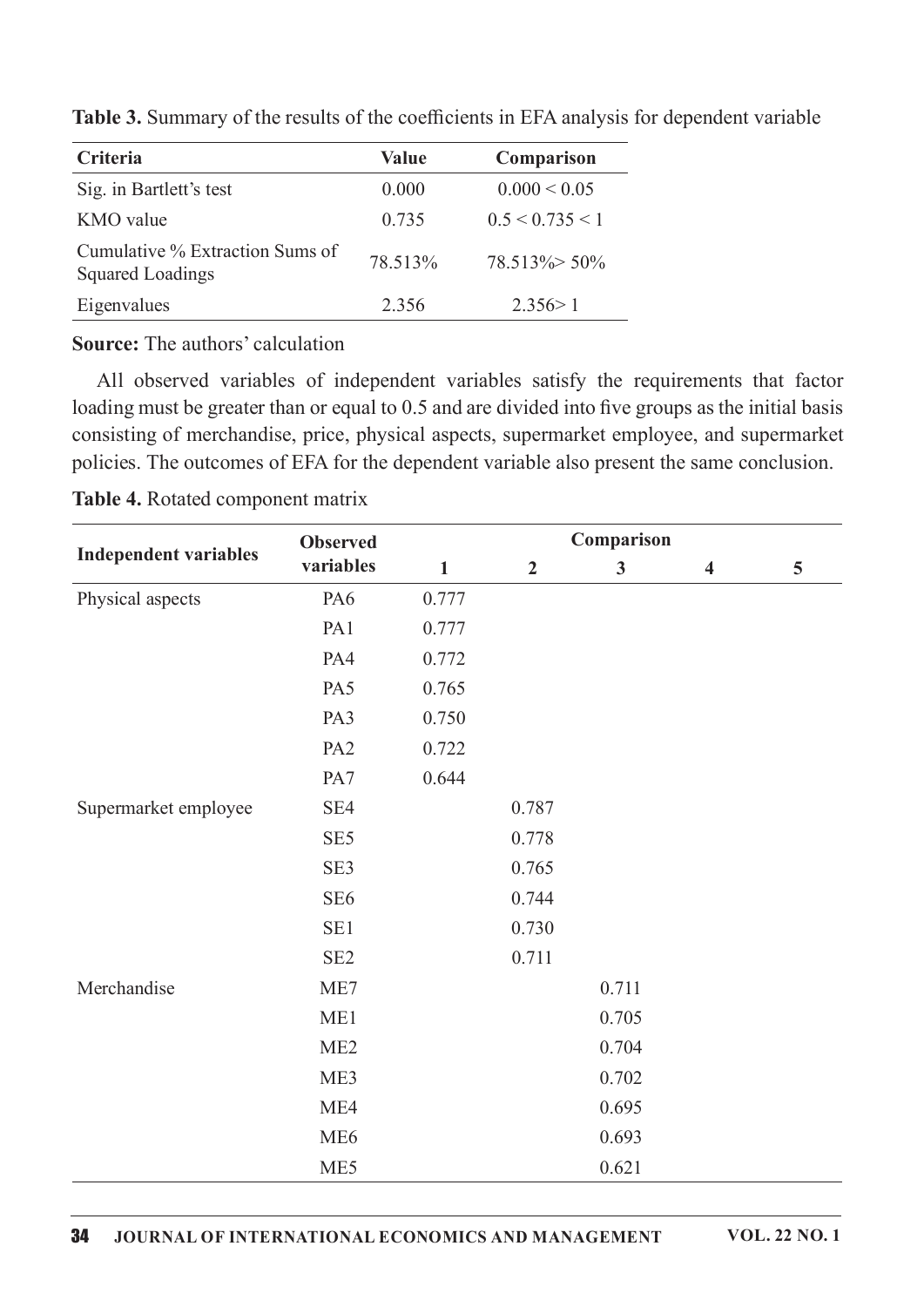| Criteria                                                   | Value   | Comparison              |
|------------------------------------------------------------|---------|-------------------------|
| Sig. in Bartlett's test                                    | 0.000   | $0.000 \le 0.05$        |
| KMO value                                                  | 0.735   | $0.5 \leq 0.735 \leq 1$ |
| Cumulative % Extraction Sums of<br><b>Squared Loadings</b> | 78.513% | $78.513\% > 50\%$       |
| Eigenvalues                                                | 2.356   | 2.356 > 1               |

Table 3. Summary of the results of the coefficients in EFA analysis for dependent variable

**Source:** The authors' calculation

All observed variables of independent variables satisfy the requirements that factor loading must be greater than or equal to 0.5 and are divided into five groups as the initial basis consisting of merchandise, price, physical aspects, supermarket employee, and supermarket policies. The outcomes of EFA for the dependent variable also present the same conclusion.

|                              | <b>Observed</b> | Comparison   |                |              |                         |   |  |
|------------------------------|-----------------|--------------|----------------|--------------|-------------------------|---|--|
| <b>Independent variables</b> | variables       | $\mathbf{1}$ | $\overline{2}$ | $\mathbf{3}$ | $\overline{\mathbf{4}}$ | 5 |  |
| Physical aspects             | PA6             | 0.777        |                |              |                         |   |  |
|                              | PA1             | 0.777        |                |              |                         |   |  |
|                              | PA4             | 0.772        |                |              |                         |   |  |
|                              | PA5             | 0.765        |                |              |                         |   |  |
|                              | PA3             | 0.750        |                |              |                         |   |  |
|                              | PA <sub>2</sub> | 0.722        |                |              |                         |   |  |
|                              | PA7             | 0.644        |                |              |                         |   |  |
| Supermarket employee         | SE4             |              | 0.787          |              |                         |   |  |
|                              | SE <sub>5</sub> |              | 0.778          |              |                         |   |  |
|                              | SE3             |              | 0.765          |              |                         |   |  |
|                              | SE <sub>6</sub> |              | 0.744          |              |                         |   |  |
|                              | SE1             |              | 0.730          |              |                         |   |  |
|                              | SE <sub>2</sub> |              | 0.711          |              |                         |   |  |
| Merchandise                  | ME7             |              |                | 0.711        |                         |   |  |
|                              | ME1             |              |                | 0.705        |                         |   |  |
|                              | ME <sub>2</sub> |              |                | 0.704        |                         |   |  |
|                              | ME3             |              |                | 0.702        |                         |   |  |
|                              | ME4             |              |                | 0.695        |                         |   |  |
|                              | ME <sub>6</sub> |              |                | 0.693        |                         |   |  |
|                              | ME5             |              |                | 0.621        |                         |   |  |

Table 4. Rotated component matrix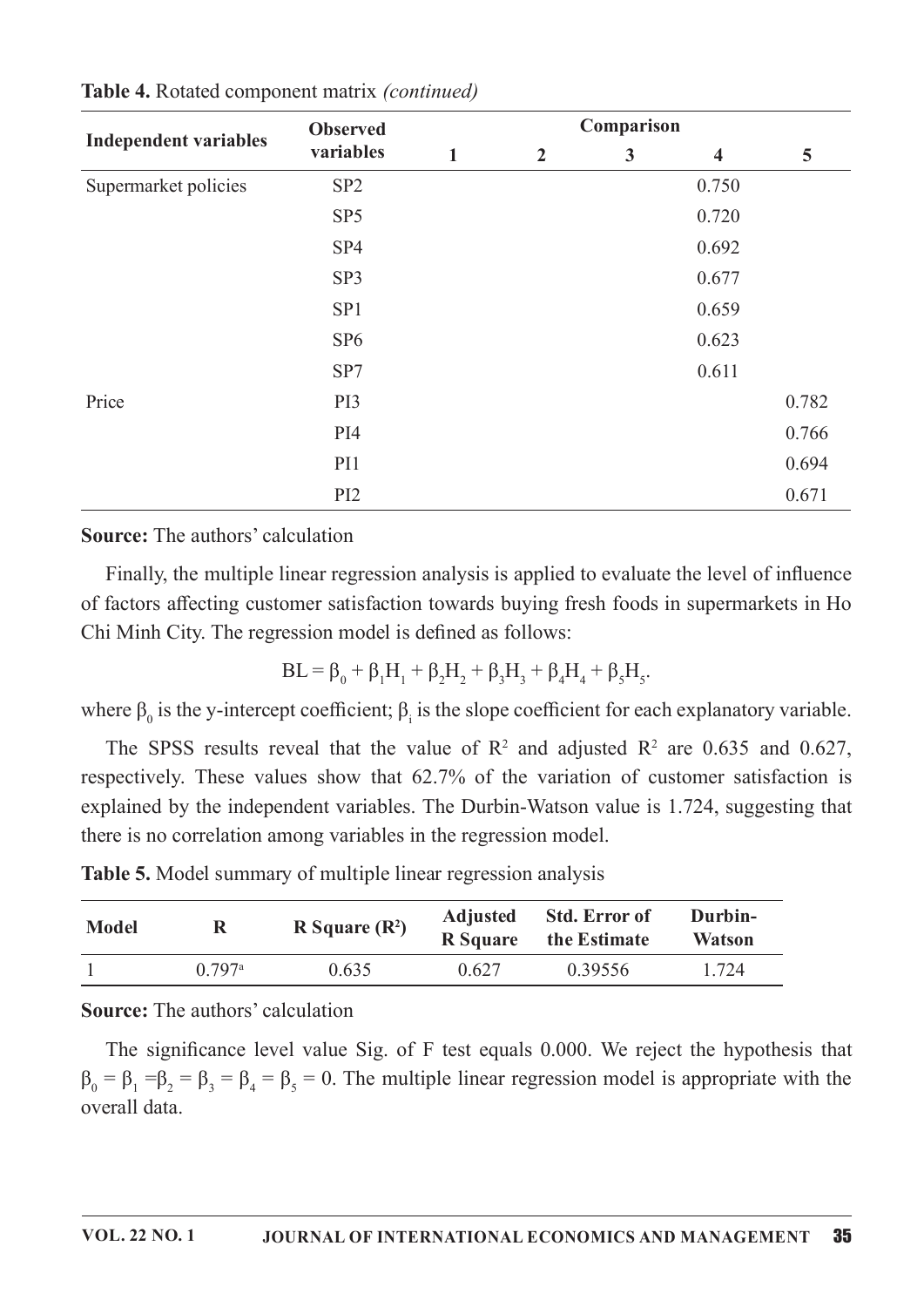|                              | <b>Observed</b> |   | Comparison     |   |                         |       |  |
|------------------------------|-----------------|---|----------------|---|-------------------------|-------|--|
| <b>Independent variables</b> | variables       | 1 | $\overline{2}$ | 3 | $\overline{\mathbf{4}}$ | 5     |  |
| Supermarket policies         | SP <sub>2</sub> |   |                |   | 0.750                   |       |  |
|                              | SP <sub>5</sub> |   |                |   | 0.720                   |       |  |
|                              | SP <sub>4</sub> |   |                |   | 0.692                   |       |  |
|                              | SP3             |   |                |   | 0.677                   |       |  |
|                              | SP1             |   |                |   | 0.659                   |       |  |
|                              | SP <sub>6</sub> |   |                |   | 0.623                   |       |  |
|                              | SP7             |   |                |   | 0.611                   |       |  |
| Price                        | PI3             |   |                |   |                         | 0.782 |  |
|                              | PI4             |   |                |   |                         | 0.766 |  |
|                              | PI1             |   |                |   |                         | 0.694 |  |
|                              | PI <sub>2</sub> |   |                |   |                         | 0.671 |  |

Table 4. Rotated component matrix (continued)

#### **Source:** The authors' calculation

Finally, the multiple linear regression analysis is applied to evaluate the level of influence of factors affecting customer satisfaction towards buying fresh foods in supermarkets in Ho Chi Minh City. The regression model is defined as follows:

$$
BL = \beta_0 + \beta_1 H_1 + \beta_2 H_2 + \beta_3 H_3 + \beta_4 H_4 + \beta_5 H_5.
$$

where  $\beta_0$  is the y-intercept coefficient;  $\beta_i$  is the slope coefficient for each explanatory variable.

The SPSS results reveal that the value of  $\mathbb{R}^2$  and adjusted  $\mathbb{R}^2$  are 0.635 and 0.627, respectively. These values show that 62.7% of the variation of customer satisfaction is explained by the independent variables. The Durbin-Watson value is 1.724, suggesting that there is no correlation among variables in the regression model.

Table 5. Model summary of multiple linear regression analysis

| <b>Model</b> | R Square $(R^2)$ |       | <b>Adjusted</b> | <b>Std. Error of</b> | Durbin-       |
|--------------|------------------|-------|-----------------|----------------------|---------------|
|              | R                |       | <b>R</b> Square | the Estimate         | <b>Watson</b> |
|              | 0.797a           | 0.635 | 0.627           | 0.39556              | 1.724         |

**Source:** The authors' calculation

The significance level value Sig. of F test equals  $0.000$ . We reject the hypothesis that  $\beta_0 = \beta_1 = \beta_2 = \beta_3 = \beta_4 = \beta_5 = 0$ . The multiple linear regression model is appropriate with the overall data.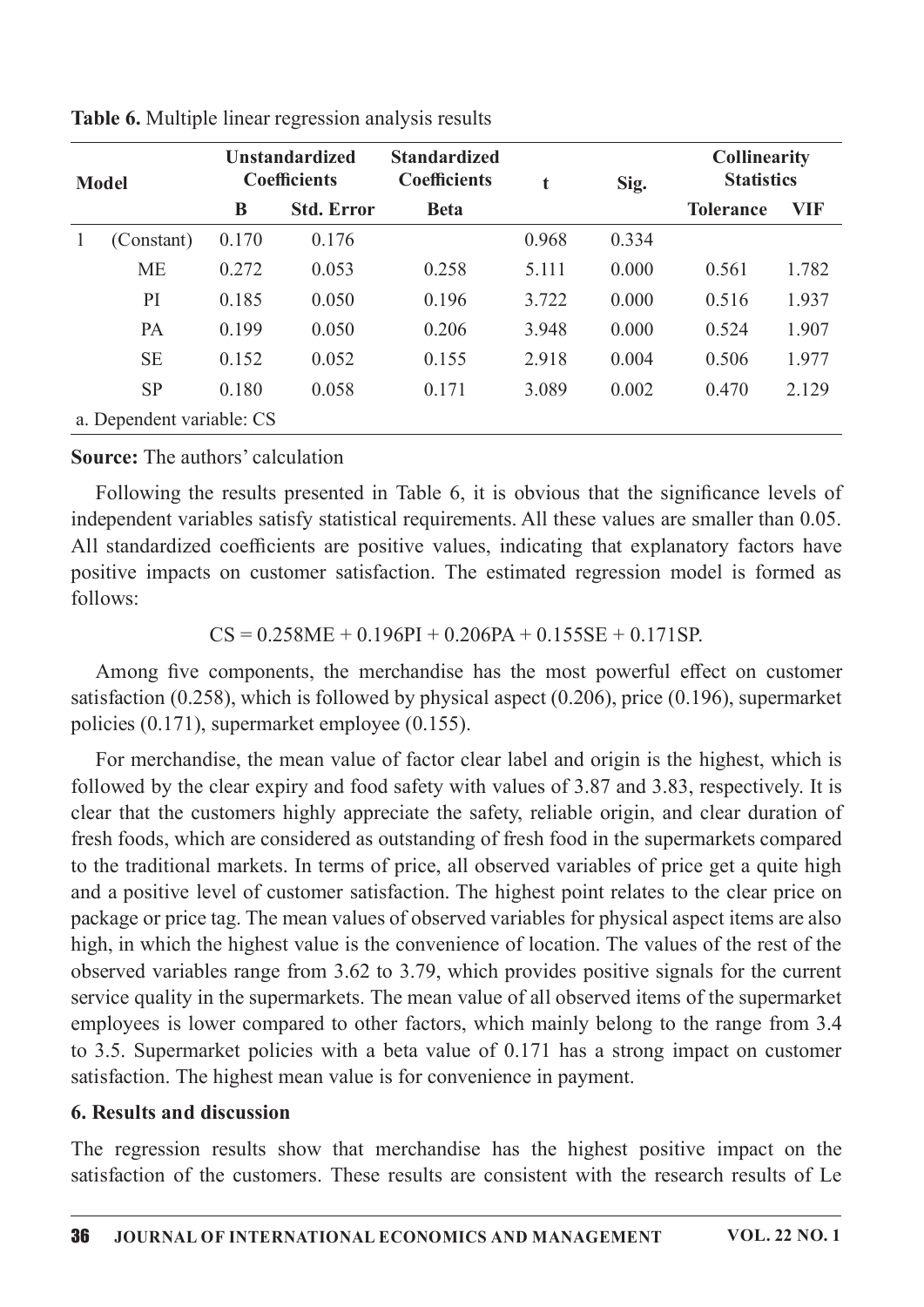| <b>Model</b> |                           |       | <b>Unstandardized</b><br><b>Coefficients</b> | <b>Standardized</b><br><b>Coefficients</b> | Sig.<br>t |       | <b>Collinearity</b><br><b>Statistics</b> |       |
|--------------|---------------------------|-------|----------------------------------------------|--------------------------------------------|-----------|-------|------------------------------------------|-------|
|              |                           | B     | <b>Std. Error</b>                            | <b>Beta</b>                                |           |       | <b>Tolerance</b>                         | VIF   |
|              | (Constant)                | 0.170 | 0.176                                        |                                            | 0.968     | 0.334 |                                          |       |
|              | <b>ME</b>                 | 0.272 | 0.053                                        | 0.258                                      | 5.111     | 0.000 | 0.561                                    | 1.782 |
|              | PI                        | 0.185 | 0.050                                        | 0.196                                      | 3.722     | 0.000 | 0.516                                    | 1.937 |
|              | PA                        | 0.199 | 0.050                                        | 0.206                                      | 3.948     | 0.000 | 0.524                                    | 1.907 |
|              | <b>SE</b>                 | 0.152 | 0.052                                        | 0.155                                      | 2.918     | 0.004 | 0.506                                    | 1.977 |
|              | <b>SP</b>                 | 0.180 | 0.058                                        | 0.171                                      | 3.089     | 0.002 | 0.470                                    | 2.129 |
|              | a. Dependent variable: CS |       |                                              |                                            |           |       |                                          |       |

Table 6. Multiple linear regression analysis results

**Source:** The authors' calculation

Following the results presented in Table 6, it is obvious that the significance levels of independent variables satisfy statistical requirements. All these values are smaller than 0.05. All standardized coefficients are positive values, indicating that explanatory factors have positive impacts on customer satisfaction. The estimated regression model is formed as follows:

 $CS = 0.258ME + 0.196PI + 0.206PA + 0.155SE + 0.171SP$ .

Among five components, the merchandise has the most powerful effect on customer satisfaction (0.258), which is followed by physical aspect (0.206), price (0.196), supermarket policies  $(0.171)$ , supermarket employee  $(0.155)$ .

For merchandise, the mean value of factor clear label and origin is the highest, which is followed by the clear expiry and food safety with values of 3.87 and 3.83, respectively. It is clear that the customers highly appreciate the safety, reliable origin, and clear duration of fresh foods, which are considered as outstanding of fresh food in the supermarkets compared to the traditional markets. In terms of price, all observed variables of price get a quite high and a positive level of customer satisfaction. The highest point relates to the clear price on package or price tag. The mean values of observed variables for physical aspect items are also high, in which the highest value is the convenience of location. The values of the rest of the observed variables range from  $3.62$  to  $3.79$ , which provides positive signals for the current service quality in the supermarkets. The mean value of all observed items of the supermarket employees is lower compared to other factors, which mainly belong to the range from 3.4 to 3.5. Supermarket policies with a beta value of 0.171 has a strong impact on customer satisfaction. The highest mean value is for convenience in payment.

#### 6. Results and discussion

The regression results show that merchandise has the highest positive impact on the satisfaction of the customers. These results are consistent with the research results of Le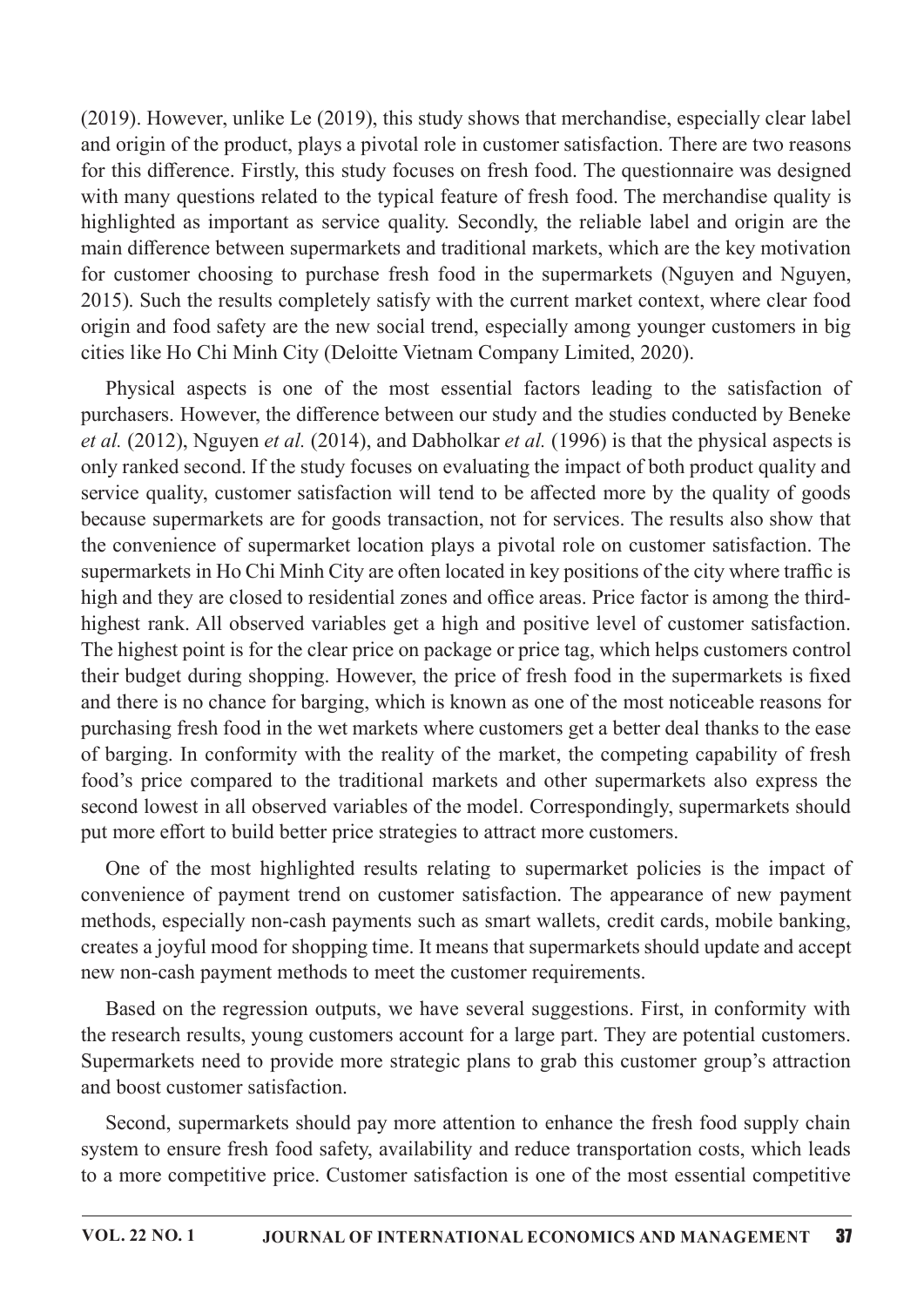(2019). However, unlike Le  $(2019)$ , this study shows that merchandise, especially clear label and origin of the product, plays a pivotal role in customer satisfaction. There are two reasons for this difference. Firstly, this study focuses on fresh food. The questionnaire was designed with many questions related to the typical feature of fresh food. The merchandise quality is highlighted as important as service quality. Secondly, the reliable label and origin are the main difference between supermarkets and traditional markets, which are the key motivation for customer choosing to purchase fresh food in the supermarkets (Nguyen and Nguyen, 2015). Such the results completely satisfy with the current market context, where clear food origin and food safety are the new social trend, especially among younger customers in big cities like Ho Chi Minh City (Deloitte Vietnam Company Limited, 2020).

Physical aspects is one of the most essential factors leading to the satisfaction of purchasers. However, the difference between our study and the studies conducted by Beneke *et al.* (2012), Nguyen *et al.* (2014), and Dabholkar *et al.* (1996) is that the physical aspects is only ranked second. If the study focuses on evaluating the impact of both product quality and service quality, customer satisfaction will tend to be affected more by the quality of goods because supermarkets are for goods transaction, not for services. The results also show that the convenience of supermarket location plays a pivotal role on customer satisfaction. The supermarkets in Ho Chi Minh City are often located in key positions of the city where traffic is high and they are closed to residential zones and office areas. Price factor is among the thirdhighest rank. All observed variables get a high and positive level of customer satisfaction. The highest point is for the clear price on package or price tag, which helps customers control their budget during shopping. However, the price of fresh food in the supermarkets is fixed and there is no chance for barging, which is known as one of the most noticeable reasons for purchasing fresh food in the wet markets where customers get a better deal thanks to the ease of barging. In conformity with the reality of the market, the competing capability of fresh food's price compared to the traditional markets and other supermarkets also express the second lowest in all observed variables of the model. Correspondingly, supermarkets should put more effort to build better price strategies to attract more customers.

One of the most highlighted results relating to supermarket policies is the impact of convenience of payment trend on customer satisfaction. The appearance of new payment methods, especially non-cash payments such as smart wallets, credit cards, mobile banking, creates a joyful mood for shopping time. It means that supermarkets should update and accept new non-cash payment methods to meet the customer requirements.

Based on the regression outputs, we have several suggestions. First, in conformity with the research results, young customers account for a large part. They are potential customers. Supermarkets need to provide more strategic plans to grab this customer group's attraction and boost customer satisfaction.

Second, supermarkets should pay more attention to enhance the fresh food supply chain system to ensure fresh food safety, availability and reduce transportation costs, which leads to a more competitive price. Customer satisfaction is one of the most essential competitive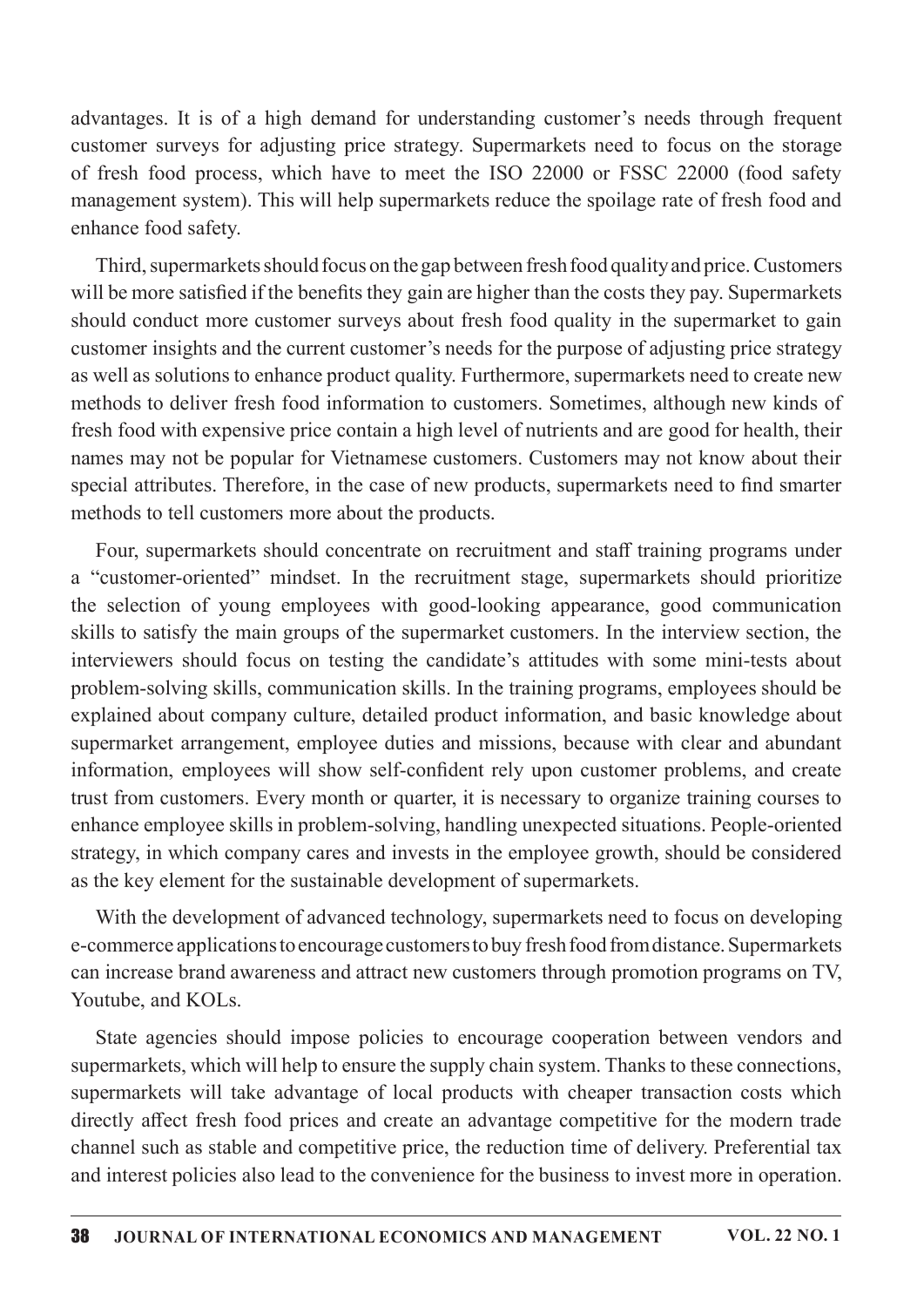advantages. It is of a high demand for understanding customer's needs through frequent customer surveys for adjusting price strategy. Supermarkets need to focus on the storage of fresh food process, which have to meet the ISO 22000 or FSSC 22000 (food safety management system). This will help supermarkets reduce the spoilage rate of fresh food and enhance food safety.

Third, supermarkets should focus on the gap between fresh food quality and price. Customers will be more satisfied if the benefits they gain are higher than the costs they pay. Supermarkets should conduct more customer surveys about fresh food quality in the supermarket to gain customer insights and the current customer's needs for the purpose of adjusting price strategy as well as solutions to enhance product quality. Furthermore, supermarkets need to create new methods to deliver fresh food information to customers. Sometimes, although new kinds of fresh food with expensive price contain a high level of nutrients and are good for health, their names may not be popular for Vietnamese customers. Customers may not know about their special attributes. Therefore, in the case of new products, supermarkets need to find smarter methods to tell customers more about the products.

Four, supermarkets should concentrate on recruitment and staff training programs under a "customer-oriented" mindset. In the recruitment stage, supermarkets should prioritize the selection of young employees with good-looking appearance, good communication skills to satisfy the main groups of the supermarket customers. In the interview section, the interviewers should focus on testing the candidate's attitudes with some mini-tests about problem-solving skills, communication skills. In the training programs, employees should be explained about company culture, detailed product information, and basic knowledge about supermarket arrangement, employee duties and missions, because with clear and abundant information, employees will show self-confident rely upon customer problems, and create trust from customers. Every month or quarter, it is necessary to organize training courses to enhance employee skills in problem-solving, handling unexpected situations. People-oriented strategy, in which company cares and invests in the employee growth, should be considered as the key element for the sustainable development of supermarkets.

With the development of advanced technology, supermarkets need to focus on developing e-commerce applications to encourage customers to buy fresh food from distance. Supermarkets can increase brand awareness and attract new customers through promotion programs on TV, Youtube, and KOLs.

State agencies should impose policies to encourage cooperation between vendors and supermarkets, which will help to ensure the supply chain system. Thanks to these connections, supermarkets will take advantage of local products with cheaper transaction costs which directly affect fresh food prices and create an advantage competitive for the modern trade channel such as stable and competitive price, the reduction time of delivery. Preferential tax and interest policies also lead to the convenience for the business to invest more in operation.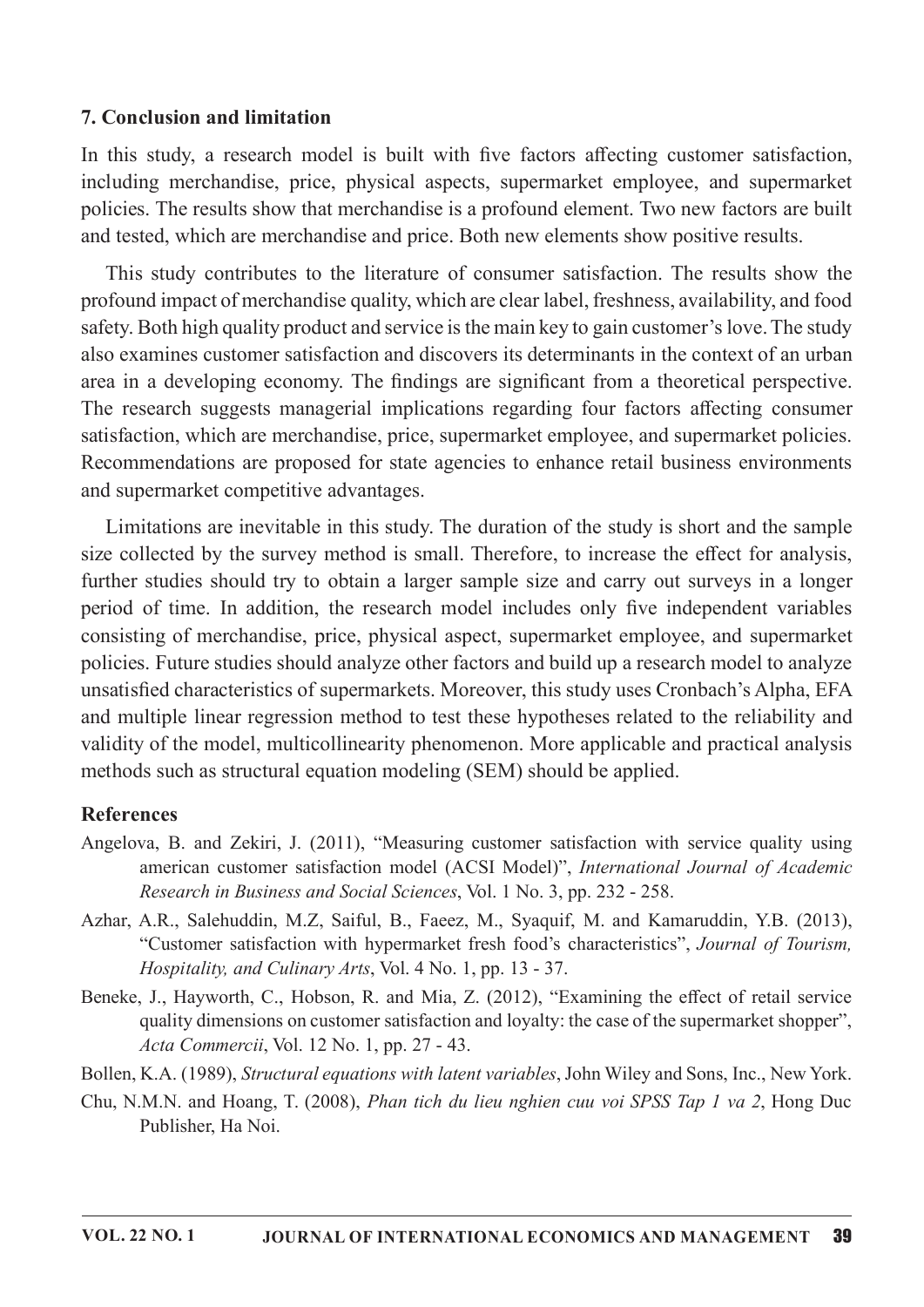#### 7. Conclusion and limitation

In this study, a research model is built with five factors affecting customer satisfaction, including merchandise, price, physical aspects, supermarket employee, and supermarket policies. The results show that merchandise is a profound element. Two new factors are built and tested, which are merchandise and price. Both new elements show positive results.

This study contributes to the literature of consumer satisfaction. The results show the profound impact of merchandise quality, which are clear label, freshness, availability, and food safety. Both high quality product and service is the main key to gain customer's love. The study also examines customer satisfaction and discovers its determinants in the context of an urban area in a developing economy. The findings are significant from a theoretical perspective. The research suggests managerial implications regarding four factors affecting consumer satisfaction, which are merchandise, price, supermarket employee, and supermarket policies. Recommendations are proposed for state agencies to enhance retail business environments and supermarket competitive advantages.

Limitations are inevitable in this study. The duration of the study is short and the sample size collected by the survey method is small. Therefore, to increase the effect for analysis, further studies should try to obtain a larger sample size and carry out surveys in a longer period of time. In addition, the research model includes only five independent variables consisting of merchandise, price, physical aspect, supermarket employee, and supermarket policies. Future studies should analyze other factors and build up a research model to analyze unsatisfied characteristics of supermarkets. Moreover, this study uses Cronbach's Alpha, EFA and multiple linear regression method to test these hypotheses related to the reliability and validity of the model, multicollinearity phenomenon. More applicable and practical analysis methods such as structural equation modeling (SEM) should be applied.

#### References

- Angelova, B. and Zekiri, J. (2011), "Measuring customer satisfaction with service quality using american customer satisfaction model (ACSI Model)", International Journal of Academic Research in Business and Social Sciences, Vol. 1 No. 3, pp. 232 - 258.
- Azhar, A.R., Salehuddin, M.Z., Saiful, B., Faeez, M., Syaquif, M. and Kamaruddin, Y.B. (2013), "Customer satisfaction with hypermarket fresh food's characteristics", Journal of Tourism, Hospitality, and Culinary Arts, Vol. 4 No. 1, pp. 13 - 37.
- Beneke, J., Hayworth, C., Hobson, R. and Mia, Z. (2012), "Examining the effect of retail service quality dimensions on customer satisfaction and loyalty: the case of the supermarket shopper", Acta Commercii, Vol. 12 No. 1, pp. 27 - 43.

Bollen, K.A. (1989), Structural equations with latent variables, John Wiley and Sons, Inc., New York.

Chu, N.M.N. and Hoang, T. (2008), *Phan tich du lieu nghien cuu voi SPSS Tap 1 va 2*, Hong Duc Publisher, Ha Noi.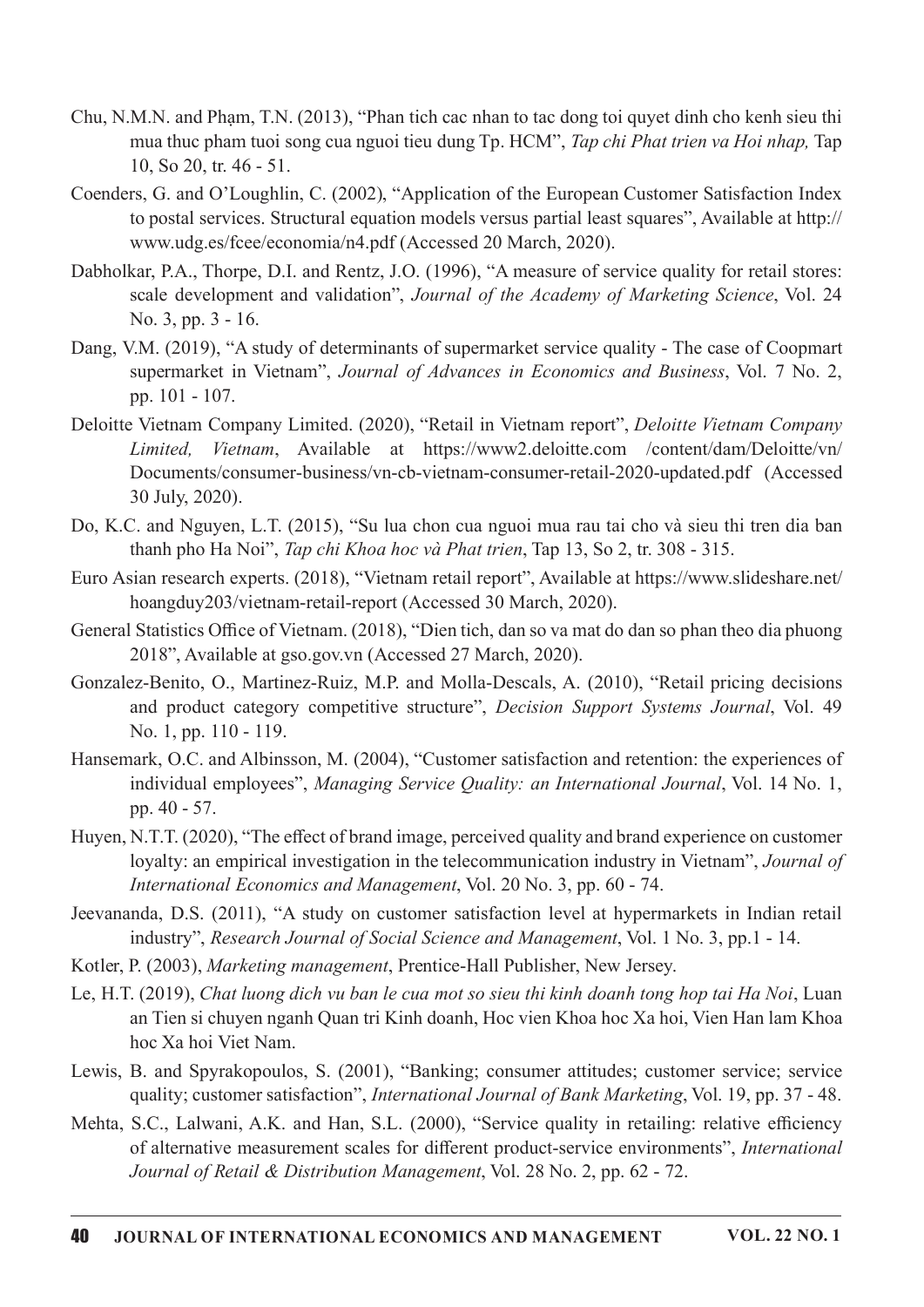- Chu, N.M.N. and Pham, T.N. (2013), "Phan tich cac nhan to tac dong toi quyet dinh cho kenh sieu thi mua thuc pham tuoi song cua nguoi tieu dung Tp. HCM", Tap chi Phat trien va Hoi nhap, Tap 10,So20,tr.46-51.
- Coenders, G. and O'Loughlin, C. (2002), "Application of the European Customer Satisfaction Index to postal services. Structural equation models versus partial least squares", Available at http:// www.udg.es/fcee/economia/n4.pdf (Accessed 20 March, 2020).
- Dabholkar, P.A., Thorpe, D.I. and Rentz, J.O. (1996), "A measure of service quality for retail stores: scale development and validation", Journal of the Academy of Marketing Science, Vol. 24 No.3,pp.3-16.
- Dang, V.M. (2019), "A study of determinants of supermarket service quality The case of Coopmart supermarket in Vietnam", Journal of Advances in Economics and Business, Vol. 7 No. 2, pp. 101 - 107.
- Deloitte Vietnam Company Limited. (2020), "Retail in Vietnam report", Deloitte Vietnam Company Limited, Vietnam, Available at https://www2.deloitte.com /content/dam/Deloitte/vn/ Documents/consumer-business/vn-cb-vietnam-consumer-retail-2020-updated.pdf (Accessed 30 July, 2020).
- Do, K.C. and Nguyen, L.T. (2015), "Su lua chon cua nguoi mua rau tai cho và sieu thi tren dia ban thanh pho Ha Noi", Tap chi Khoa hoc và Phat trien, Tap 13, So 2, tr. 308 - 315.
- Euro Asian research experts. (2018), "Vietnam retail report", Available at https://www.slideshare.net/ hoangduy203/vietnam-retail-report (Accessed 30 March, 2020).
- General Statistics Office of Vietnam. (2018), "Dien tich, dan so va mat do dan so phan theo dia phuong 2018", Available at gso.gov.vn (Accessed 27 March, 2020).
- Gonzalez-Benito, O., Martinez-Ruiz, M.P. and Molla-Descals, A. (2010), "Retail pricing decisions and product category competitive structure", Decision Support Systems Journal, Vol. 49 No. 1, pp.  $110 - 119$ .
- Hansemark, O.C. and Albinsson, M. (2004), "Customer satisfaction and retention: the experiences of individual employees", Managing Service Quality: an International Journal, Vol. 14 No. 1, pp. 40 - 57.
- Huyen, N.T.T. (2020), "The effect of brand image, perceived quality and brand experience on customer loyalty: an empirical investigation in the telecommunication industry in Vietnam", Journal of International Economics and Management, Vol. 20 No. 3, pp. 60 - 74.
- Jeevananda, D.S. (2011), "A study on customer satisfaction level at hypermarkets in Indian retail industry", Research Journal of Social Science and Management, Vol. 1 No. 3, pp.1 - 14.
- Kotler, P. (2003), Marketing management, Prentice-Hall Publisher, New Jersey.
- Le, H.T. (2019), Chat luong dich vu ban le cua mot so sieu thi kinh doanh tong hop tai Ha Noi, Luan an Tien si chuyen nganh Quan tri Kinh doanh, Hoc vien Khoa hoc Xa hoi, Vien Han lam Khoa hoc Xa hoi Viet Nam.
- Lewis, B. and Spyrakopoulos, S. (2001), "Banking; consumer attitudes; customer service; service quality; customer satisfaction", International Journal of Bank Marketing, Vol. 19, pp. 37 - 48.
- Mehta, S.C., Lalwani, A.K. and Han, S.L. (2000), "Service quality in retailing: relative efficiency of alternative measurement scales for different product-service environments", International Journal of Retail & Distribution Management, Vol. 28 No. 2, pp. 62 - 72.